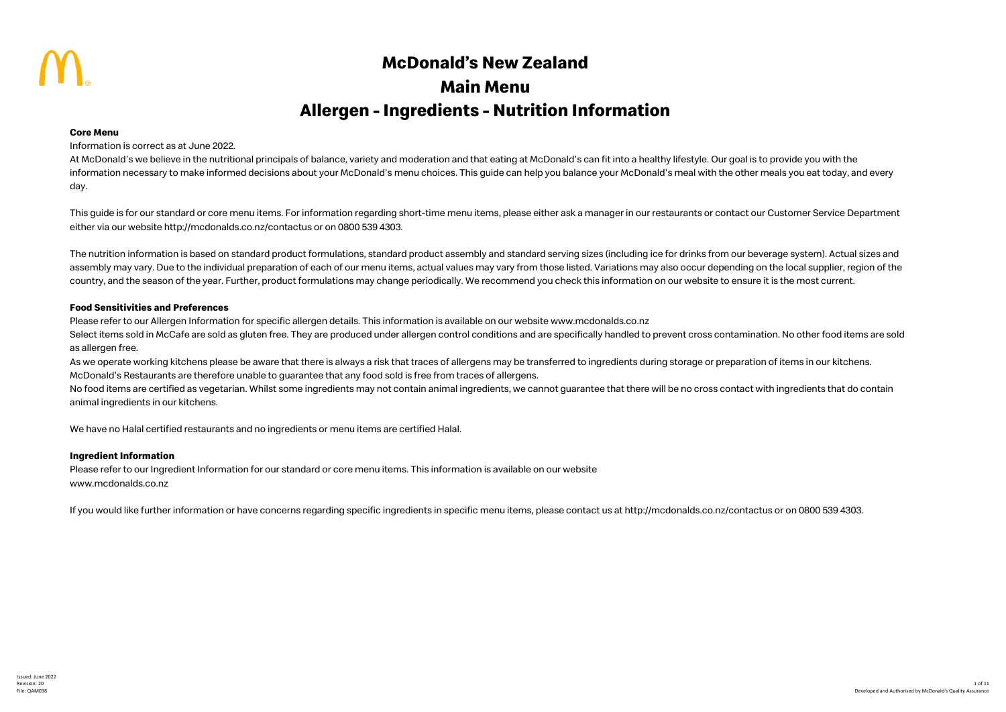# **McDonald's New Zealand Main Menu Allergen - Ingredients - Nutrition Information**

### **Core Menu**

### Information is correct as at June 2022.

At McDonald's we believe in the nutritional principals of balance, variety and moderation and that eating at McDonald's can fit into a healthy lifestyle. Our goal is to provide you with the information necessary to make informed decisions about your McDonald's menu choices. This guide can help you balance your McDonald's meal with the other meals you eat today, and every day.

This guide is for our standard or core menu items. For information regarding short-time menu items, please either ask a manager in our restaurants or contact our Customer Service Department either via our website http://mcdonalds.co.nz/contactus or on 0800 539 4303.

The nutrition information is based on standard product formulations, standard product assembly and standard serving sizes (including ice for drinks from our beverage system). Actual sizes and assembly may vary. Due to the individual preparation of each of our menu items, actual values may vary from those listed. Variations may also occur depending on the local supplier, region of the country, and the season of the year. Further, product formulations may change periodically. We recommend you check this information on our website to ensure it is the most current.

### **Food Sensitivities and Preferences**

Please refer to our Allergen Information for specific allergen details. This information is available on our website www.mcdonalds.co.nz Select items sold in McCafe are sold as gluten free. They are produced under allergen control conditions and are specifically handled to prevent cross contamination. No other food items are sold as allergen free.

As we operate working kitchens please be aware that there is always a risk that traces of allergens may be transferred to ingredients during storage or preparation of items in our kitchens. McDonald's Restaurants are therefore unable to guarantee that any food sold is free from traces of allergens.

No food items are certified as vegetarian. Whilst some ingredients may not contain animal ingredients, we cannot guarantee that there will be no cross contact with ingredients that do contain animal ingredients in our kitchens.

We have no Halal certified restaurants and no ingredients or menu items are certified Halal.

### **Ingredient Information**

Please refer to our Ingredient Information for our standard or core menu items. This information is available on our website www.mcdonalds.co.nz

If you would like further information or have concerns regarding specific ingredients in specific menu items, please contact us at http://mcdonalds.co.nz/contactus or on 0800 539 4303.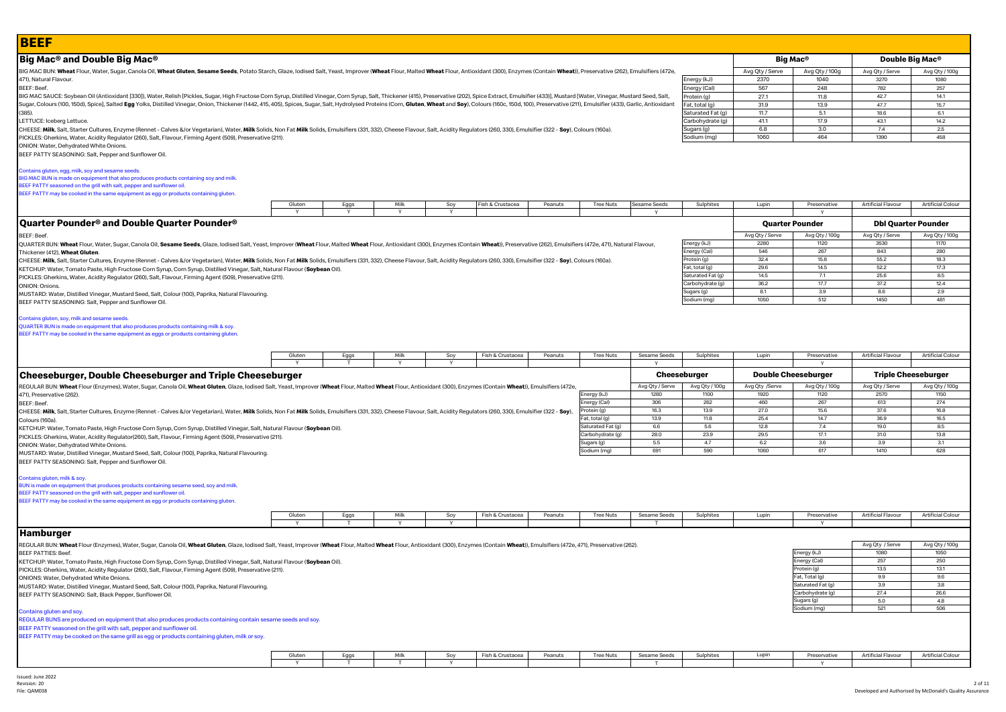| <b>BEEF</b>                                                                                                                                                                                                                                                                                                                                                                                                                                                      |             |           |              |                 |                  |         |                                       |                         |                               |                         |                               |                           |                            |
|------------------------------------------------------------------------------------------------------------------------------------------------------------------------------------------------------------------------------------------------------------------------------------------------------------------------------------------------------------------------------------------------------------------------------------------------------------------|-------------|-----------|--------------|-----------------|------------------|---------|---------------------------------------|-------------------------|-------------------------------|-------------------------|-------------------------------|---------------------------|----------------------------|
| Big Mac® and Double Big Mac®                                                                                                                                                                                                                                                                                                                                                                                                                                     |             |           |              |                 |                  |         |                                       |                         |                               |                         | Big Mac®                      |                           | Double Big Mac®            |
| BIG MAC BUN: Wheat Flour, Water, Sugar, Canola Oil, Wheat Gluten, Sesame Seeds, Potato Starch, Glaze, Iodised Salt, Yeast, Improver (Wheat Flour, Malted Wheat Flour, Antioxidant (300), Enzymes (Contain Wheat)), Preservativ                                                                                                                                                                                                                                   |             |           |              |                 |                  |         |                                       |                         |                               | Avg Qty / Serve         | Avg Qty / 100g                | Avg Qty / Serve           | Avg Qty / 100g             |
| 471), Natural Flavour.                                                                                                                                                                                                                                                                                                                                                                                                                                           |             |           |              |                 |                  |         |                                       |                         | Energy (kJ)                   | 2370                    | 1040                          | 3270                      | 1080                       |
| <b>BEEF: Beef.</b>                                                                                                                                                                                                                                                                                                                                                                                                                                               |             |           |              |                 |                  |         |                                       |                         | Energy (Cal)                  | 567                     | 248                           | 782                       | 257                        |
| BIG MAC SAUCE: Soybean Oil (Antioxidant [330]), Water, Relish [Pickles, Sugar, High Fructose Corn Syrup, Distilled Vinegar, Corn Syrup, Salt, Thickener (415), Preservative (202), Spice Extract, Emulsifier (433)], Mustard [<br>Sugar, Colours (100, 150d), Spicel, Salted Egg Yolks, Distilled Vinegar, Onion, Thickener (1442, 415, 405), Spices, Sugar, Salt, Hydrolysed Proteins (Corn, Gluten, Wheat and Soy), Colours (160c, 150d, 100), Preservative (2 |             |           |              |                 |                  |         |                                       |                         | Protein (g)<br>Fat, total (g) | 27.1<br>31.9            | 11.8<br>13.9                  | 42.7<br>47.7              | 14.1<br>15.7               |
| $(385)$ .                                                                                                                                                                                                                                                                                                                                                                                                                                                        |             |           |              |                 |                  |         |                                       |                         | Saturated Fat (g)             | 11.7                    | 5.1                           | 18.6                      | 6.1                        |
| LETTUCE: Iceberg Lettuce.                                                                                                                                                                                                                                                                                                                                                                                                                                        |             |           |              |                 |                  |         |                                       |                         | Carbohydrate (g)              | 41.1                    | 17.9                          | 43.1                      | 14.2                       |
| CHEESE: Milk, Salt, Starter Cultures, Enzyme (Rennet - Calves &/or Vegetarian), Water, Milk Solids, Non Fat Milk Solids, Emulsifiers (331, 332), Cheese Flavour, Salt, Acidity Regulators (260, 330), Emulsifier (322 - Soy),                                                                                                                                                                                                                                    |             |           |              |                 |                  |         |                                       |                         | Sugars (g)                    | 6.8                     | 3.0                           | 7.4                       | 2.5                        |
| PICKLES: Gherkins, Water, Acidity Regulator (260), Salt, Flavour, Firming Agent (509), Preservative (211).<br>ONION: Water, Dehydrated White Onions.                                                                                                                                                                                                                                                                                                             |             |           |              |                 |                  |         |                                       |                         | Sodium (mg)                   | 1060                    | 464                           | 1390                      | 458                        |
| Contains gluten, egg, milk, soy and sesame seeds.<br>BIG MAC BUN is made on equipment that also produces products containing soy and milk.<br>BEEF PATTY seasoned on the grill with salt, pepper and sunflower oil.<br>BEEF PATTY may be cooked in the same equipment as egg or products containing gluten.                                                                                                                                                      | Gluten<br>Y | Eggs<br>Y | Milk<br>Y    | Soy<br><b>Y</b> | Fish & Crustacea | Peanuts | <b>Tree Nuts</b>                      | Sesame Seeds            | Sulphites                     | Lupin                   | Preservative                  | <b>Artificial Flavour</b> | <b>Artificial Colour</b>   |
| Quarter Pounder® and Double Quarter Pounder®                                                                                                                                                                                                                                                                                                                                                                                                                     |             |           |              |                 |                  |         |                                       |                         |                               |                         | <b>Quarter Pounder</b>        |                           | <b>Dbl Quarter Pounder</b> |
| BEEF: Beef.                                                                                                                                                                                                                                                                                                                                                                                                                                                      |             |           |              |                 |                  |         |                                       |                         |                               | Avg Qty / Serve<br>2280 | Avg Qty / 100g<br>1120        | Avg Qty / Serve<br>3530   | Avg Qty / 100g<br>1170     |
| QUARTER BUN: Wheat Flour, Water, Sugar, Canola Oil, Sesame Seeds, Glaze, Iodised Salt, Yeast, Improver (Wheat Flour, Malted Wheat Flour, Antioxidant (300), Enzymes (Contain Wheat)), Preservative (262), Emulsifiers (472e, 4<br>Thickener (412), Wheat Gluten                                                                                                                                                                                                  |             |           |              |                 |                  |         |                                       |                         | Energy (kJ)<br>Energy (Cal)   | 546                     | 267                           | 843                       | 280                        |
| CHEESE: Milk, Salt, Starter Cultures, Enzyme (Rennet - Calves &/or Vegetarian), Water, Milk Solids, Non Fat Milk Solids, Emulsifiers (331, 332), Cheese Flavour, Salt, Acidity Regulators (260, 330), Emulsifier (322 - Soy),                                                                                                                                                                                                                                    |             |           |              |                 |                  |         |                                       |                         | Protein (g)                   | 32.4                    | 15.8                          | 55.2                      | 18.3                       |
| KETCHUP: Water, Tomato Paste, High Fructose Corn Syrup, Corn Syrup, Distilled Vinegar, Salt, Natural Flavour (Soybean Oil).                                                                                                                                                                                                                                                                                                                                      |             |           |              |                 |                  |         |                                       |                         | Fat, total (g)                | 29.6                    | 14.5                          | 52.2                      | 17.3                       |
| PICKLES: Gherkins, Water, Acidity Regulator (260), Salt, Flavour, Firming Agent (509), Preservative (211).                                                                                                                                                                                                                                                                                                                                                       |             |           |              |                 |                  |         |                                       |                         | Saturated Fat (g)             | 14.5                    | 7.1                           | 25.6                      | 8.5                        |
| ONION: Onions.                                                                                                                                                                                                                                                                                                                                                                                                                                                   |             |           |              |                 |                  |         |                                       |                         | Carbohydrate (g)              | 36.2                    | 17.7                          | 37.2                      | 12.4                       |
| MUSTARD: Water, Distilled Vinegar, Mustard Seed, Salt, Colour (100), Paprika, Natural Flavouring.                                                                                                                                                                                                                                                                                                                                                                |             |           |              |                 |                  |         |                                       |                         | Sugars (g)<br>Sodium (mg)     | 8.1<br>1050             | 3.9<br>512                    | 8.6<br>1450               | 2.9<br>481                 |
| BEEF PATTY SEASONING: Salt, Pepper and Sunflower Oil.                                                                                                                                                                                                                                                                                                                                                                                                            |             |           |              |                 |                  |         |                                       |                         |                               |                         |                               |                           |                            |
| BEEF PATTY may be cooked in the same equipment as eggs or products containing gluten.                                                                                                                                                                                                                                                                                                                                                                            | Gluten      | Eggs      | Milk         |                 | Fish & Crustacea |         |                                       |                         |                               |                         | Preservative                  | Artificial Flavour        | <b>Artificial Colour</b>   |
|                                                                                                                                                                                                                                                                                                                                                                                                                                                                  |             |           |              | Soy             |                  | Peanuts | <b>Tree Nuts</b>                      | Sesame Seeds            | Sulphites                     | Lupin                   |                               |                           |                            |
|                                                                                                                                                                                                                                                                                                                                                                                                                                                                  | Y           | T         | $\mathbf{v}$ | <b>Y</b>        |                  |         |                                       | $\mathsf{v}$            |                               |                         | Y                             |                           |                            |
| <b>Cheeseburger, Double Cheeseburger and Triple Cheeseburger</b>                                                                                                                                                                                                                                                                                                                                                                                                 |             |           |              |                 |                  |         |                                       |                         | Cheeseburger                  |                         | <b>Double Cheeseburger</b>    |                           | <b>Triple Cheeseburger</b> |
| REGULAR BUN: Wheat Flour (Enzymes), Water, Sugar, Canola Oil, Wheat Gluten, Glaze, Iodised Salt, Yeast, Improver (Wheat Flour, Malted Wheat Flour, Antioxidant (300), Enzymes (Contain Wheat), Emulsifiers (472e,<br>471), Preservative (262).                                                                                                                                                                                                                   |             |           |              |                 |                  |         | Energy (kJ)                           | Avg Qty / Serve<br>1280 | Avg Qty / 100g<br>1100        | Avg Qty /Serve<br>1920  | Avg Qty / 100g<br>1120        | Avg Qty / Serve<br>2570   | Avg Qty / 100g<br>1150     |
| BEEF: Beef.                                                                                                                                                                                                                                                                                                                                                                                                                                                      |             |           |              |                 |                  |         | Inergy (Cal)                          | 306                     | 262                           | 460                     | 267                           | 613                       | 274                        |
| CHEESE: Milk, Salt, Starter Cultures, Enzyme (Rennet - Calves &/or Vegetarian), Water, Milk Solids, Non Fat Milk Solids, Emulsifiers (331, 332), Cheese Flavour, Salt, Acidity Regulators (260, 330), Emulsifier (322 - Soy),                                                                                                                                                                                                                                    |             |           |              |                 |                  |         | Protein (g)                           | 16.3                    | 13.9                          | 27.0                    | 15.6                          | 37.6                      | 16.8                       |
| Colours (160a).                                                                                                                                                                                                                                                                                                                                                                                                                                                  |             |           |              |                 |                  |         | at, total (g)                         | 13.9                    | 11.8                          | 25.4                    | 14.7                          | 36.9                      | 16.5                       |
| KETCHUP: Water, Tomato Paste, High Fructose Corn Syrup, Corn Syrup, Distilled Vinegar, Salt, Natural Flavour (Soybean Oil).                                                                                                                                                                                                                                                                                                                                      |             |           |              |                 |                  |         | Saturated Fat (g)<br>Carbohydrate (g) | 6.6<br>28.0             | 5.6<br>23.9                   | 12.8<br>29.5            | 7.4<br>17.1                   | 19.0<br>31.0              | 8.5<br>13.8                |
| PICKLES: Gherkins, Water, Acidity Regulator(260), Salt, Flavour, Firming Agent (509), Preservative (211).                                                                                                                                                                                                                                                                                                                                                        |             |           |              |                 |                  |         | Sugars (g)                            | 5.5                     | 4.7                           | 6.2                     | 3.6                           | 3.9                       | 3.1                        |
| ONION: Water, Dehydrated White Onions.<br>MUSTARD: Water, Distilled Vinegar, Mustard Seed, Salt, Colour (100), Paprika, Natural Flavouring.                                                                                                                                                                                                                                                                                                                      |             |           |              |                 |                  |         | Sodium (mg)                           | 691                     | 590                           | 1060                    | 617                           | 1410                      | 628                        |
| BEEF PATTY SEASONING: Salt, Pepper and Sunflower Oil<br>Contains gluten, milk & soy.<br>BUN is made on equipment that produces products containing sesame seed, soy and milk.<br>BEEF PATTY seasoned on the grill with salt, pepper and sunflower oil.<br>BEEF PATTY may be cooked in the same equipment as egg or products containing gluten.                                                                                                                   | Gluten      | Eggs      | Milk         | Soy             | Fish & Crustacea | Peanuts | <b>Tree Nuts</b>                      | Sesame Seeds            | Sulphites                     | Lupin                   | Preservative                  | <b>Artificial Flavour</b> | <b>Artificial Colour</b>   |
|                                                                                                                                                                                                                                                                                                                                                                                                                                                                  |             |           |              |                 |                  |         |                                       |                         |                               |                         |                               |                           |                            |
| <b>Hamburger</b>                                                                                                                                                                                                                                                                                                                                                                                                                                                 |             |           |              |                 |                  |         |                                       |                         |                               |                         |                               |                           |                            |
| REGULAR BUN: Wheat Flour (Enzymes), Water, Sugar, Canola Oil, Wheat Gluten, Glaze, Iodised Salt, Yeast, Improver (Wheat Flour, Malted Wheat Flour, Antioxidant (300), Enzymes (Contain Wheat)), Emulsifiers (472e, 471), Prese                                                                                                                                                                                                                                   |             |           |              |                 |                  |         |                                       |                         |                               |                         |                               | Avg Qty / Serve           | Avg Qty / 100g             |
| <b>BEEF PATTIES: Beef</b>                                                                                                                                                                                                                                                                                                                                                                                                                                        |             |           |              |                 |                  |         |                                       |                         |                               |                         | Energy (kJ)                   | 1080                      | 1050                       |
| KETCHUP: Water, Tomato Paste, High Fructose Corn Syrup, Corn Syrup, Distilled Vinegar, Salt, Natural Flavour (Soybean Oil).                                                                                                                                                                                                                                                                                                                                      |             |           |              |                 |                  |         |                                       |                         |                               |                         | Energy (Cal)                  | 257                       | 250                        |
| PICKLES: Gherkins, Water, Acidity Regulator (260), Salt, Flavour, Firming Agent (509), Preservative (211).                                                                                                                                                                                                                                                                                                                                                       |             |           |              |                 |                  |         |                                       |                         |                               |                         | Protein (g)<br>Fat, Total (g) | 13.5<br>9.9               | 13.1<br>9.6                |
| ONIONS: Water, Dehydrated White Onions.<br>MUSTARD: Water, Distilled Vinegar, Mustard Seed, Salt, Colour (100), Paprika, Natural Flavouring,                                                                                                                                                                                                                                                                                                                     |             |           |              |                 |                  |         |                                       |                         |                               |                         | Saturated Fat (g)             | 3.9                       | 3.8                        |
| BEEF PATTY SEASONING: Salt, Black Pepper, Sunflower Oil.                                                                                                                                                                                                                                                                                                                                                                                                         |             |           |              |                 |                  |         |                                       |                         |                               |                         | Carbohydrate (g)              | 27.4                      | 26.6                       |
|                                                                                                                                                                                                                                                                                                                                                                                                                                                                  |             |           |              |                 |                  |         |                                       |                         |                               |                         | Sugars (g)                    | 5.0                       | 4.8                        |
| Contains gluten and soy.                                                                                                                                                                                                                                                                                                                                                                                                                                         |             |           |              |                 |                  |         |                                       |                         |                               |                         | Sodium (mg)                   | 521                       | 506                        |
| REGULAR BUNS are produced on equipment that also produces products containing contain sesame seeds and soy.<br>BEEF PATTY seasoned on the grill with salt, pepper and sunflower oil.<br>BEEF PATTY may be cooked on the same grill as egg or products containing gluten, milk or soy.                                                                                                                                                                            |             |           |              |                 |                  |         |                                       |                         |                               |                         |                               |                           |                            |
|                                                                                                                                                                                                                                                                                                                                                                                                                                                                  | Gluten      | Eggs      | Milk         | Soy             | Fish & Crustacea | Peanuts | <b>Tree Nuts</b>                      | Sesame Seeds            | Sulphites                     | Lupin                   | Preservative                  | <b>Artificial Flavour</b> | Artificial Colour          |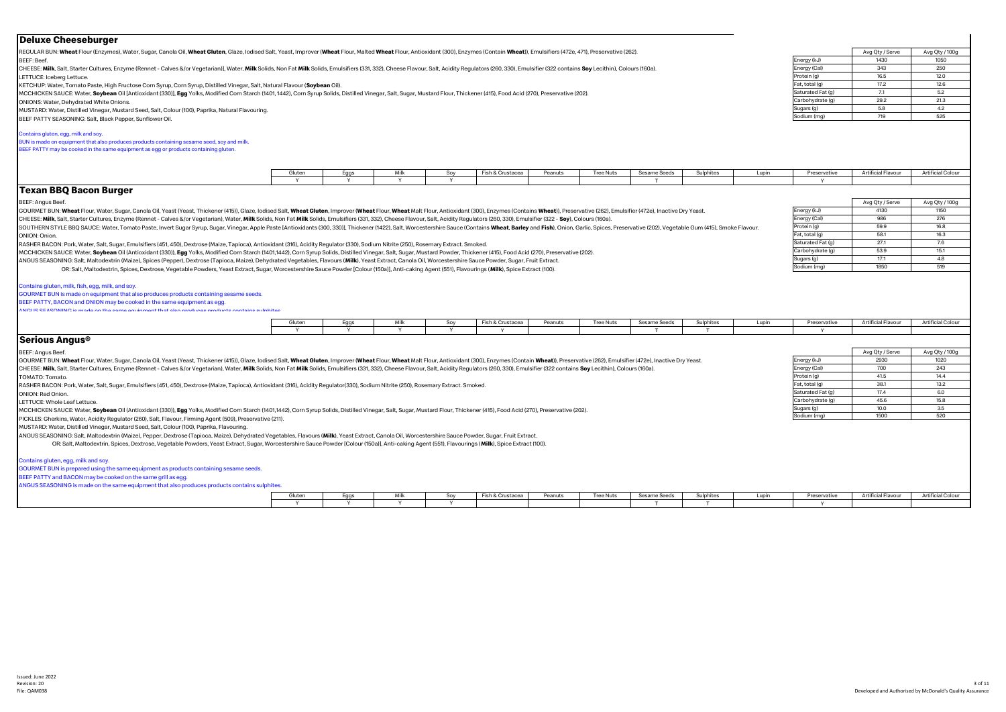| <b>Deluxe Cheeseburger</b>                                                                                                                                                                                                                                                                                                                                                                                          |                        |           |                      |                     |                  |         |                  |                          |              |       |                                |                           |                          |
|---------------------------------------------------------------------------------------------------------------------------------------------------------------------------------------------------------------------------------------------------------------------------------------------------------------------------------------------------------------------------------------------------------------------|------------------------|-----------|----------------------|---------------------|------------------|---------|------------------|--------------------------|--------------|-------|--------------------------------|---------------------------|--------------------------|
| REGULAR BUN: Wheat Flour (Enzymes), Water, Sugar, Canola Oil, Wheat Gluten, Glaze, Iodised Salt, Yeast, Improver (Wheat Flour, Malted Wheat Flour, Antioxidant (300), Enzymes (Contain Wheat)), Emulsifiers (472e, 471), Prese                                                                                                                                                                                      |                        |           |                      |                     |                  |         |                  |                          |              |       |                                | Avg Qty / Serve           | Avg Qty / 100g           |
| <b>BEEF: Beef.</b>                                                                                                                                                                                                                                                                                                                                                                                                  |                        |           |                      |                     |                  |         |                  |                          |              |       | Energy (kJ)                    | 1430                      | 1050                     |
| CHEESE: Milk, Salt, Starter Cultures, Enzyme (Rennet - Calves &/or Vegetarian)], Water, Milk Solids, Non Fat Milk Solids, Emulsifiers (331, 332), Cheese Flavour, Salt, Acidity Regulators (260, 330), Emulsifier (322 contain                                                                                                                                                                                      |                        |           |                      |                     |                  |         |                  |                          |              |       | Energy (Cal)                   | 343                       | 250                      |
| LETTUCE: Iceberg Lettuce.                                                                                                                                                                                                                                                                                                                                                                                           |                        |           |                      |                     |                  |         |                  |                          |              |       | Protein (g)                    | 16.5                      | 12.0                     |
| KETCHUP: Water, Tomato Paste, High Fructose Corn Syrup, Corn Syrup, Distilled Vinegar, Salt, Natural Flavour (Soybean Oil).                                                                                                                                                                                                                                                                                         |                        |           |                      |                     |                  |         |                  |                          |              |       | Fat, total (g)                 | 17.2                      | 12.6                     |
| MCCHICKEN SAUCE: Water, Soybean Oil [Antioxidant (330]], Egg Yolks, Modified Corn Starch (1401, 1442), Corn Syrup Solids, Distilled Vinegar, Salt, Sugar, Mustard Flour, Thickener (415), Food Acid (270), Preservative (202),                                                                                                                                                                                      |                        |           |                      |                     |                  |         |                  |                          |              |       | Saturated Fat (g)              | 7.1                       | 5.2                      |
| ONIONS: Water, Dehydrated White Onions.                                                                                                                                                                                                                                                                                                                                                                             |                        |           |                      |                     |                  |         |                  |                          |              |       | Carbohydrate (q)               | 29.2                      | 21.3                     |
| MUSTARD: Water, Distilled Vinegar, Mustard Seed, Salt, Colour (100), Paprika, Natural Flavouring.                                                                                                                                                                                                                                                                                                                   |                        |           |                      |                     |                  |         |                  |                          |              |       | Sugars (g)                     | 5.8                       | 4.2                      |
| BEEF PATTY SEASONING: Salt, Black Pepper, Sunflower Oil.                                                                                                                                                                                                                                                                                                                                                            |                        |           |                      |                     |                  |         |                  |                          |              |       | Sodium (mg)                    | 719                       | 525                      |
| Contains gluten, egg, milk and soy.                                                                                                                                                                                                                                                                                                                                                                                 |                        |           |                      |                     |                  |         |                  |                          |              |       |                                |                           |                          |
| BUN is made on equipment that also produces products containing sesame seed, soy and milk.<br>BEEF PATTY may be cooked in the same equipment as egg or products containing gluten.                                                                                                                                                                                                                                  |                        |           |                      |                     |                  |         |                  |                          |              |       |                                |                           |                          |
|                                                                                                                                                                                                                                                                                                                                                                                                                     |                        |           |                      |                     |                  |         |                  |                          |              |       |                                |                           |                          |
|                                                                                                                                                                                                                                                                                                                                                                                                                     | Gluten<br>$\mathbf{v}$ | Eggs<br>Y | Milk<br>$\mathsf{v}$ | Soy<br>$\mathbf{v}$ | Fish & Crustacea | Peanuts | <b>Tree Nuts</b> | <b>Sesame Seeds</b><br>T | Sulphites    | Lupin | Preservative<br>Y              | <b>Artificial Flavour</b> | <b>Artificial Colour</b> |
| <b>Texan BBQ Bacon Burger</b>                                                                                                                                                                                                                                                                                                                                                                                       |                        |           |                      |                     |                  |         |                  |                          |              |       |                                |                           |                          |
|                                                                                                                                                                                                                                                                                                                                                                                                                     |                        |           |                      |                     |                  |         |                  |                          |              |       |                                |                           |                          |
| BEEF: Angus Beef.                                                                                                                                                                                                                                                                                                                                                                                                   |                        |           |                      |                     |                  |         |                  |                          |              |       |                                | Avg Qty / Serve           | Avg Qty / 100g           |
| GOURMET BUN: Wheat Flour, Water, Sugar, Canola Oil, Yeast (Yeast, Thickener (415)), Glaze, Iodised Salt, Wheat Gluten, Improver (Wheat Flour, Wheat Malt Flour, Antioxidant (300), Enzymes (Contains Wheat), Preservative (262                                                                                                                                                                                      |                        |           |                      |                     |                  |         |                  |                          |              |       | Energy (kJ)                    | 4130                      | 1150                     |
| CHEESE: Milk, Salt, Starter Cultures, Enzyme (Rennet - Calves &/or Vegetarian), Water, Milk Solids, Non Fat Milk Solids, Emulsifiers (331, 332), Cheese Flavour, Salt, Acidity Regulators (260, 330), Emulsifier (322 - Soy),                                                                                                                                                                                       |                        |           |                      |                     |                  |         |                  |                          |              |       | Energy (Cal)                   | 986                       | 276                      |
| SOUTHERN STYLE BBQ SAUCE: Water, Tomato Paste, Invert Sugar Syrup, Sugar, Vinegar, Apple Paste [Antioxidants (300, 330]], Thickener (1422), Salt, Worcestershire Sauce (Contains Wheat, Barley and Fish), Onion, Garlic, Spice                                                                                                                                                                                      |                        |           |                      |                     |                  |         |                  |                          |              |       | Protein (g)                    | 59.9                      | 16.8                     |
| ONION: Onion.                                                                                                                                                                                                                                                                                                                                                                                                       |                        |           |                      |                     |                  |         |                  |                          |              |       | Fat, total (g)                 | 58.1<br>27.1              | 16.3<br>7.6              |
| RASHER BACON: Pork, Water, Salt, Sugar, Emulsifiers (451, 450), Dextrose (Maize, Tapioca), Antioxidant (316), Acidity Regulator (330), Sodium Nitrite (250), Rosemary Extract. Smoked.                                                                                                                                                                                                                              |                        |           |                      |                     |                  |         |                  |                          |              |       | Saturated Fat (g)              | 53.9                      | 15.1                     |
| MCCHICKEN SAUCE: Water, Soybean Oil (Antioxidant (330)), Egg Yolks, Modified Corn Starch (1401,1442), Corn Syrup Solids, Distilled Vinegar, Salt, Sugar, Mustard Powder, Thickener (415), Food Acid (270), Preservative (202).                                                                                                                                                                                      |                        |           |                      |                     |                  |         |                  |                          |              |       | Carbohydrate (g)<br>Sugars (g) | 17.1                      | 4.8                      |
| ANGUS SEASONING: Salt, Maltodextrin (Maize), Spices (Pepper), Dextrose (Tapioca, Maize), Dehydrated Vegetables, Flavours (Milk), Yeast Extract, Canola Oil, Worcestershire Sauce Powder, Sugar, Fruit Extract.<br>OR: Salt, Maltodextrin, Spices, Dextrose, Vegetable Powders, Yeast Extract, Sugar, Worcestershire Sauce Powder [Colour (150a)], Anti-caking Agent (551), Flavourings (Milk), Spice Extract (100). |                        |           |                      |                     |                  |         |                  |                          |              |       | Sodium (mg)                    | 1850                      | 519                      |
| GOURMET BUN is made on equipment that also produces products containing sesame seeds.<br>BEEF PATTY, BACON and ONION may be cooked in the same equipment as egg.<br>ANGLIS SEASONING is made on the same equipment that also produces products contains sulphite                                                                                                                                                    |                        |           |                      |                     |                  |         |                  |                          |              |       |                                |                           |                          |
|                                                                                                                                                                                                                                                                                                                                                                                                                     | Gluten                 | Eggs      | Milk                 | Soy                 | Fish & Crustacea | Peanuts | <b>Tree Nuts</b> | Sesame Seeds             | Sulphites    | Lupin | Preservative                   | <b>Artificial Flavour</b> | <b>Artificial Colour</b> |
|                                                                                                                                                                                                                                                                                                                                                                                                                     | <b>V</b>               | <b>Y</b>  | - Y                  | <b>V</b>            |                  |         |                  |                          | $\mathbf{I}$ |       | $\mathbf{v}$                   |                           |                          |
| Serious Angus <sup>®</sup>                                                                                                                                                                                                                                                                                                                                                                                          |                        |           |                      |                     |                  |         |                  |                          |              |       |                                |                           |                          |
| BEEF: Angus Beef.                                                                                                                                                                                                                                                                                                                                                                                                   |                        |           |                      |                     |                  |         |                  |                          |              |       |                                | Avg Qty / Serve           | Avg Qty / 100g           |
| GOURMET BUN: Wheat Flour, Water, Sugar, Canola Oil, Yeast (Yeast, Thickener (415)), Glaze, Iodised Salt, Wheat Gluten, Improver (Wheat Flour, Wheat Malt Flour, Antioxidant (300), Enzymes (Contain Wheat), Preservative (262)                                                                                                                                                                                      |                        |           |                      |                     |                  |         |                  |                          |              |       | Energy (kJ)                    | 2930                      | 1020                     |
| CHEESE: Milk, Salt, Starter Cultures, Enzyme (Rennet - Calves &/or Vegetarian), Water, Milk Solids, Non Fat Milk Solids, Emulsifiers (331, 332), Cheese Flavour, Salt, Acidity Regulators (260, 330), Emulsifier (322 contains                                                                                                                                                                                      |                        |           |                      |                     |                  |         |                  |                          |              |       | Energy (Cal)                   | 700                       | 243                      |
| TOMATO: Tomato.                                                                                                                                                                                                                                                                                                                                                                                                     |                        |           |                      |                     |                  |         |                  |                          |              |       | Protein (g)                    | 41.5                      | 14.4                     |
| RASHER BACON: Pork, Water, Salt, Sugar, Emulsifiers (451, 450), Dextrose (Maize, Tapioca), Antioxidant (316), Acidity Regulator(330), Sodium Nitrite (250), Rosemary Extract. Smoked.                                                                                                                                                                                                                               |                        |           |                      |                     |                  |         |                  |                          |              |       | Fat, total (g)                 | 38.1                      | 13.2                     |
| <b>ONION: Red Onion.</b>                                                                                                                                                                                                                                                                                                                                                                                            |                        |           |                      |                     |                  |         |                  |                          |              |       | Saturated Fat (g)              | 17.4                      | 6.0                      |
| LETTUCE: Whole Leaf Lettuce.                                                                                                                                                                                                                                                                                                                                                                                        |                        |           |                      |                     |                  |         |                  |                          |              |       | Carbohydrate (g)               | 45.6                      | 15.8                     |
| MCCHICKEN SAUCE: Water, Soybean Oil (Antioxidant (330)), Egg Yolks, Modified Corn Starch (1401,1442), Corn Syrup Solids, Distilled Vinegar, Salt, Sugar, Mustard Flour, Thickener (415), Food Acid (270), Preservative (202).                                                                                                                                                                                       |                        |           |                      |                     |                  |         |                  |                          |              |       | Sugars (g)                     | 10.0                      | 3.5                      |
| PICKLES: Gherkins, Water, Acidity Regulator (260), Salt, Flavour, Firming Agent (509), Preservative (211).                                                                                                                                                                                                                                                                                                          |                        |           |                      |                     |                  |         |                  |                          |              |       | Sodium (mg)                    | 1500                      | 520                      |
| MUSTARD: Water, Distilled Vinegar, Mustard Seed, Salt, Colour (100), Paprika, Flavouring.                                                                                                                                                                                                                                                                                                                           |                        |           |                      |                     |                  |         |                  |                          |              |       |                                |                           |                          |
| ANGUS SEASONING: Salt, Maltodextrin (Maize), Pepper, Dextrose (Tapioca, Maize), Dehydrated Vegetables, Flavours (Milk), Yeast Extract, Canola Oil, Worcestershire Sauce Powder, Sugar, Fruit Extract.                                                                                                                                                                                                               |                        |           |                      |                     |                  |         |                  |                          |              |       |                                |                           |                          |
| OR: Salt, Maltodextrin, Spices, Dextrose, Vegetable Powders, Yeast Extract, Sugar, Worcestershire Sauce Powder [Colour (150a)], Anti-caking Agent (551), Flavourings (Milk), Spice Extract (100).                                                                                                                                                                                                                   |                        |           |                      |                     |                  |         |                  |                          |              |       |                                |                           |                          |
| Contains gluten, egg, milk and soy                                                                                                                                                                                                                                                                                                                                                                                  |                        |           |                      |                     |                  |         |                  |                          |              |       |                                |                           |                          |
| GOURMET BUN is prepared using the same equipment as products containing sesame seeds.                                                                                                                                                                                                                                                                                                                               |                        |           |                      |                     |                  |         |                  |                          |              |       |                                |                           |                          |
| BEEF PATTY and BACON may be cooked on the same grill as egg.                                                                                                                                                                                                                                                                                                                                                        |                        |           |                      |                     |                  |         |                  |                          |              |       |                                |                           |                          |
| ANGUS SEASONING is made on the same equipment that also produces products contains sulphites.                                                                                                                                                                                                                                                                                                                       |                        |           |                      |                     |                  |         |                  |                          |              |       |                                |                           |                          |
|                                                                                                                                                                                                                                                                                                                                                                                                                     | Gluten                 | Eggs      | Milk                 | Sov                 | Fish & Crustacea | Peanuts | Tree Nuts        | Sesame Seeds             | Sulphites    | Lupin | Preservative                   | <b>Artificial Flavour</b> | <b>Artificial Colour</b> |
|                                                                                                                                                                                                                                                                                                                                                                                                                     |                        |           |                      |                     |                  |         |                  |                          |              |       |                                |                           |                          |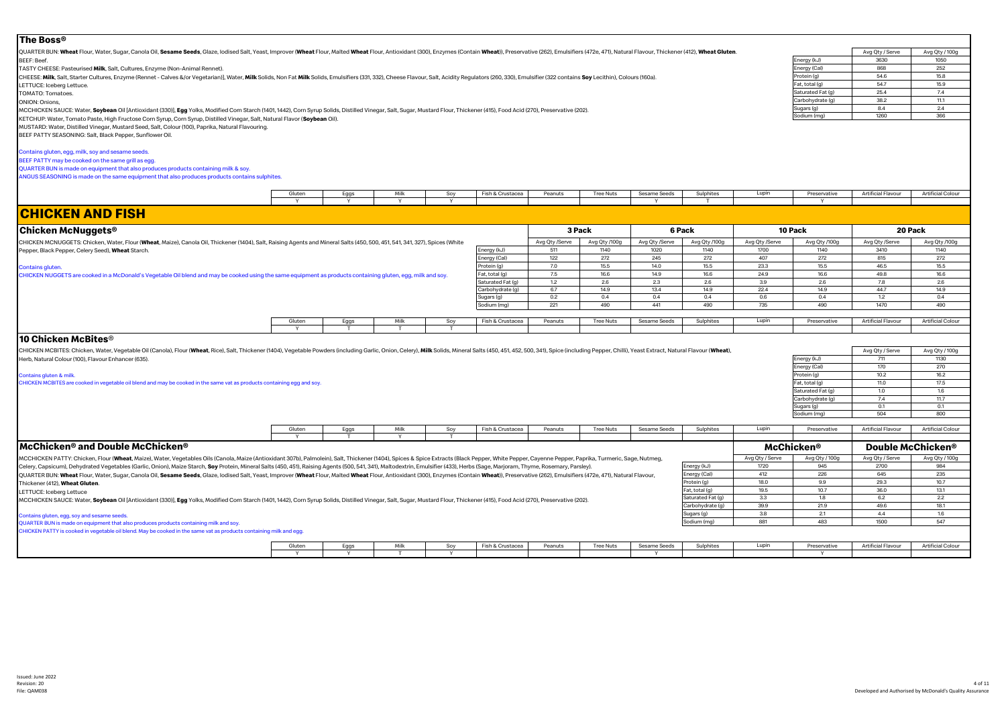#### Avg Qty / Serve Avg Qty / 100g<br>3630 1050 Energy (kJ) 3630 1050<br>
Fnergy (Cal) 868 252 Energy (Cal) 868 252<br>Protein (a) 546 158 Protein (g) 54.6 15.8<br>
Fat total (g) 54.7 15.9 Fat, total (g) 54.7 15.9 Saturated Fat (g) 25.4 7.4<br>Carbohydrate (g) 38.2 111  $\frac{1}{\text{C} \cdot \text{C} \cdot \text{C} \cdot \text{C} \cdot \text{C}}$  (g)  $\frac{38.2}{8.4}$  11.1<br>  $\frac{1}{24}$  2.4 Sugars (g) 8.4 2.4<br>Sodium (mg) 3.66 3.66 Sodium (mg) 1260 366 Gluten | Eggs | Milk | Soy |Fish&Crustacea Peanuts | Tree Nuts | Sesame Seeds | Sulphites | Lupin | Preservative | Artificial Flavour | Artificial Colour Y Y Y Y Y T Y **Chicken McNuggets®** Avg Qty /Serve | Avg Qty /100g | Avg Qty /Serve | Avg Qty /100g | Avg Qty /Serve | Avg Qty /100g | Avg Qty /Serve | Avg Qty /100g Energy (kJ) | 511 | 1140 | 1020 | 1140 | 1700 | 1140 | 3410 | 1140 Energy (Cal) | 122 | 272 | 245 | 272 | 407 | 272 | 815 | 272 Protein (g) | 7.0 | 15.5 | 14.0 | 15.5 | 23.3 | 15.5 | 46.5 | 15.5 Fat, total (g) | 7.5 | 16.6 | 14.9 | 16.6 | 24.9 | 16.6 | 49.8 | 16.6 Saturated Fat (g) | 1.2 | 2.6 | 2.3 | 2.6 | 3.9 | 2.6 | 7.8 | 2.6 Carbohydrate (g) | 6.7 | 14.9 | 13.4 | 14.9 | 22.4 | 14.9 | 44.7 | 14.9 Sugars (g) | 0.2 | 0.4 | 0.4 | 0.4 | 0.6 | 0.4 | 1.2 | 0.4 Sodium (mg) | 221 | 490 | 441 | 490 | 735 | 490 | 1470 | 490 Gluten | Eggs | Milk | Soy |Fish&Crustacea | Peanuts | Tree Nuts | Sesame Seeds | Sulphites | Lupin | Preservative | Artificial Flavour | Artificial Colour Y T T T Avg Qty / Serve Avg Qty / 100g Energy (kJ) 711 1130 Energy (Cal) 170 270 Protein (g) 10.2 16.2 Fat, total (g) 11.0 17.5 Saturated Fat (g)  $\begin{array}{|c|c|c|c|c|}\n\hline\n1.0 & 1.6 \\
\hline\n1.6 & 74 & 117\n\end{array}$  $\begin{array}{|c|c|c|c|}\n \hline \text{arbohydrate (g)} & \text{7.4} & \text{11.7} \\
 \text{quars (a)} & \text{0.1} & \text{0.1} \\
 \hline \end{array}$ Sugars (g) 0.1 0.1  $Sodium (mol)$   $504$  800 Gluten | Eggs | Milk | Soy |Fish&Crustacea Peanuts | Tree Nuts | Sesame Seeds | Sulphites | Lupin | Preservative | Artificial<code>Flavour | Artificial Colour</code> Y T Y T Avg Qty / Serve Avg Qty / 100g Avg Qty / Serve Avg Qty / 100g Energy (kJ) 1720 945 2700 984 Energy (Cal) 412 226 645 235 Protein (g) | 18.0 | 9.9 | 29.3 | 10.7 Fat, total (g) | 19.5 | 10.7 | 36.0 | 13.1 Saturated Fat (g) | 3.3 | 1.8 | 6.2 | 2.2 Carbohydrate (g) 39.9 21.9 49.6 18.1 Sugars (g)  $3.8$   $2.1$   $4.4$  1.6 Sodium (mg) | 881 | 483 | 1500 | 547 **10 Pack CHICKEN AND FISH** CHICKEN MCNUGGETS: Chicken, Water, Flour (**Wheat**, Maize), Canola Oil, Thickener (1404), Salt, Raising Agents and Mineral Salts (450, 500, 451, 541, 341, 327), Spices (White Pepper, Black Pepper, Celery Seed), **Wheat** Starch. Contains gluten. CHICKEN NUGGETS are cooked in a McDonald's Vegetable Oil blend and may be cooked using the same equipment as products containing gluten, egg, milk and soy. **3 Pack 6 Pack 20 Pack McChicken® and Double McChicken® McChicken® Double McChicken®** MCCHICKEN PATTY: Chicken, Flour (Wheat, Maize). Water, Vegetables Oils (Canola, Maize (Antioxidant 307b), Palmolein), Salt. Thickener (1404), Spices & Spice Extracts (Black Pepper, White Pepper, Cayenne Pepper, Paprika, Tu Celery, Capsicum), Dehydrated Vegetables (Garlic, Onion), Maize Starch, Soy Protein, Mineral Salts (450, 451), Raising Agents (500, 541, 341), Maltodextrin, Emulsifier (433), Herbs (Sage, Marjoram, Thyme, Rosemary, Parsley QUARTER BUN: Wheat Flour, Water, Sugar, Canola Oil, Sesame Seeds, Glaze, Iodised Salt, Yeast, Improver (Wheat Flour, Malted Wheat Flour, Antioxidant (300), Enzymes (Contain Wheat)), Preservative (262), Emulsifiers (472e, 4 Thickener (412), **Wheat Gluten**. LETTUCE: Iceberg Lettuce MCCHICKEN SAUCE: Water, Soybean Oil [Antioxidant (330)], Egg Yolks, Modified Corn Starch (1401, 1442), Corn Syrup Solids, Distilled Vinegar, Salt, Sugar, Mustard Flour, Thickener (415), Food Acid (270), Preservative (202). Contains gluten, egg, soy and sesame seeds. QUARTER BUN is made on equipment that also produces products containing milk and soy. HICKEN PATTY is cooked in vegetable oil blend. May be cooked in the same vat as products containing milk and egg **10 Chicken McBites**® QUARTER BUN: Wheat Flour, Water, Sugar, Canola Oil, Sesame Seeds, Glaze, Iodised Salt, Yeast, Improver (Wheat Flour, Malted Wheat Flour, Antioxidant (300), Enzymes (Contain Wheat), Preservative (262), Emulsifiers (472e, 47 BEEF: Beef. TASTY CHEESE: Pasteurised **Milk**, Salt, Cultures, Enzyme (Non-Animal Rennet). CHEESE: Milk. Salt. Starter Cultures. Enzyme (Rennet - Calves &/or Vegetarian)). Water. Milk Solids. Non Fat Milk Solids. Emulsifiers (331, 332). Cheese Flavour. Salt. Acidity Regulators (260, 330). Emulsifier (329 contain LETTUCE: Iceberg Lettuce. TOMATO: Tomatoes. ONION: Onions, MCCHICKEN SAUCE: Water, Soybean Oil [Antioxidant (330)], Egg Yolks, Modified Corn Starch (1401, 1442), Corn Syrup Solids, Distilled Vinegar, Salt, Sugar, Mustard Flour, Thickener (415), Food Acid (270), Preservative (202). KETCHUP: Water, Tomato Paste, High Fructose Corn Syrup, Corn Syrup, Distilled Vinegar, Salt, Natural Flavor (**Soybean** Oil). MUSTARD: Water, Distilled Vinegar, Mustard Seed, Salt, Colour (100), Paprika, Natural Flavouring. BEEF PATTY SEASONING: Salt, Black Pepper, Sunflower Oil. ontains gluten, egg, milk, soy and sesame seeds. BEEF PATTY may be cooked on the same grill as egg. QUARTER BUN is made on equipment that also produces products containing milk & soy. ANGUS SEASONING is made on the same equipment that also produces products contains sulphites. CHICKEN MCBITES: Chicken, Water, Vegetable Oil (Canola), Flour (Wheat, Rice), Salt, Thickener (1404), Vegetable Powders (including Garlic, Onion, Celery), Milk Solids, Mineral Salts (450, 451, 452, 500, 341), Spice (includ Herb, Natural Colour (100), Flavour Enhancer (635). Contains gluten & milk. CHICKEN MCBITES are cooked in vegetable oil blend and may be cooked in the same vat as products containing egg and soy.

Gluten | Eggs | Milk | Soy |Fish&Crustacea Peanuts | Tree Nuts | Sesame Seeds | Sulphites | Lupin | Preservative | Artificial<code>Flavour | Artificial Colour</code>

Y Y T Y Y Y

**The Boss®**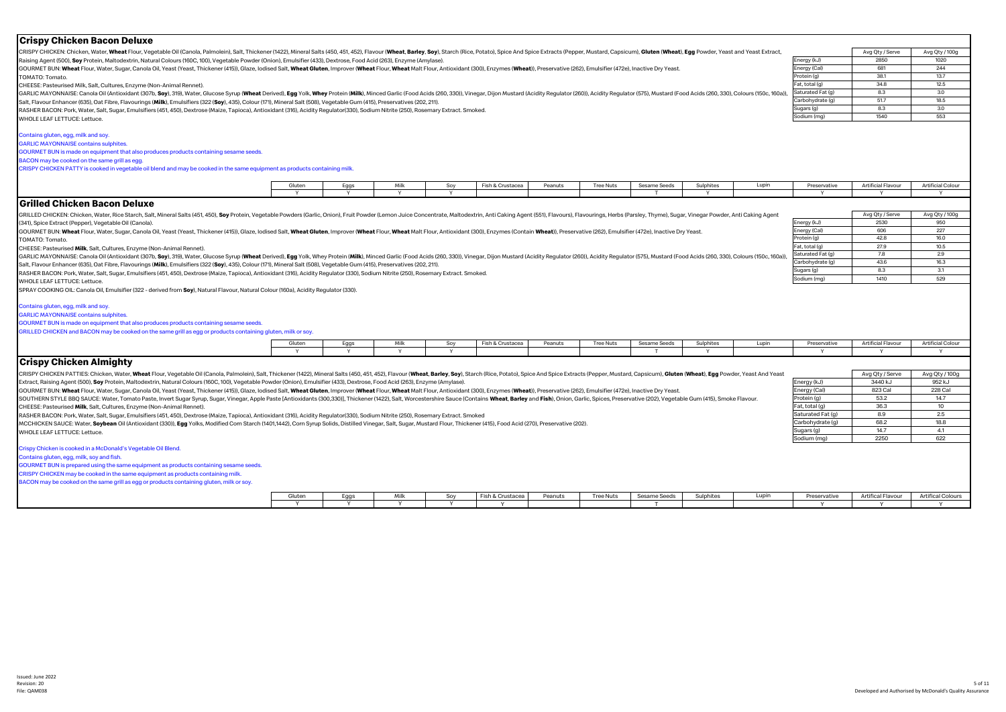| Crispy Chicken Bacon Deluxe                                                                                                                                                                                                    |                                                                                                                                                                                                                                                                                                                                                                                                                                                                                                                                                                                                        |             |              |              |                       |         |                  |                     |           |       |                   |                                      |                               |  |
|--------------------------------------------------------------------------------------------------------------------------------------------------------------------------------------------------------------------------------|--------------------------------------------------------------------------------------------------------------------------------------------------------------------------------------------------------------------------------------------------------------------------------------------------------------------------------------------------------------------------------------------------------------------------------------------------------------------------------------------------------------------------------------------------------------------------------------------------------|-------------|--------------|--------------|-----------------------|---------|------------------|---------------------|-----------|-------|-------------------|--------------------------------------|-------------------------------|--|
| CRISPY CHICKEN: Chicken, Water, Wheat Flour, Vegetable Oil (Canola, Palmolein), Salt, Thickener (1422), Mineral Salts (450, 451, 452), Flavour (Wheat, Barley, Soy), Starch (Rice, Potato), Spice And Spice Extracts (Pepper,  |                                                                                                                                                                                                                                                                                                                                                                                                                                                                                                                                                                                                        |             |              |              |                       |         |                  |                     |           |       |                   | Avg Qty / Serve                      | Avg Qty / 100g                |  |
| Raising Agent (500), Soy Protein, Maltodextrin, Natural Colours (160C, 100), Vegetable Powder (Onion), Emulsifier (433), Dextrose, Food Acid (263), Enzyme (Amylase).                                                          |                                                                                                                                                                                                                                                                                                                                                                                                                                                                                                                                                                                                        |             |              |              |                       |         |                  |                     |           |       | Energy (kJ)       | 2850                                 | 1020                          |  |
| GOURMET BUN: Wheat Flour, Water, Sugar, Canola Oil, Yeast (Yeast, Thickener (415)), Glaze, lodised Salt, Wheat Gluten, Improver (Wheat Flour, Wheat Malt Flour, Antioxidant (300), Enzymes (Wheat)), Preservative (262), Emuls |                                                                                                                                                                                                                                                                                                                                                                                                                                                                                                                                                                                                        |             |              |              |                       |         |                  |                     |           |       | Energy (Cal)      | 681                                  | 244                           |  |
| TOMATO: Tomato.                                                                                                                                                                                                                |                                                                                                                                                                                                                                                                                                                                                                                                                                                                                                                                                                                                        | Protein (g) | 38.1<br>34.8 | 13.7<br>12.5 |                       |         |                  |                     |           |       |                   |                                      |                               |  |
| CHEESE: Pasteurised Milk, Salt, Cultures, Enzyme (Non-Animal Rennet).                                                                                                                                                          | GARLIC MAYONNAISE: Canola Oil (Antioxidant (307b, Soy), 319), Water, Glucose Syrup (Wheat Derived), Egg Yolk, Whey Protein (Milk), Minced Garlic (Food Acids (260, 330)), Vinegar, Dijon Mustard (Acidity Regulator (260), Aci<br>Salt, Flavour Enhancer (635), Oat Fibre, Flavourings (Milk), Emulsifiers (322 (Soy), 435), Colour (171), Mineral Salt (508), Vegetable Gum (415), Preservatives (202, 211).<br>RASHER BACON: Pork, Water, Salt, Sugar, Emulsifiers (451, 450), Dextrose (Maize, Tapioca), Antioxidant (316), Acidity Regulator(330), Sodium Nitrite (250), Rosemary Extract. Smoked. |             |              |              |                       |         |                  |                     |           |       |                   |                                      |                               |  |
|                                                                                                                                                                                                                                |                                                                                                                                                                                                                                                                                                                                                                                                                                                                                                                                                                                                        |             |              |              |                       |         |                  |                     |           |       | Saturated Fat (q) | 8.3                                  | 3.0                           |  |
|                                                                                                                                                                                                                                |                                                                                                                                                                                                                                                                                                                                                                                                                                                                                                                                                                                                        |             |              |              |                       |         |                  |                     |           |       | Carbohydrate (q)  | 51.7                                 | 18.5                          |  |
|                                                                                                                                                                                                                                |                                                                                                                                                                                                                                                                                                                                                                                                                                                                                                                                                                                                        |             |              |              |                       |         |                  |                     |           |       | Sugars (g)        | 8.3                                  | 3.0                           |  |
| WHOLE LEAF LETTUCE: Lettuce.                                                                                                                                                                                                   |                                                                                                                                                                                                                                                                                                                                                                                                                                                                                                                                                                                                        |             |              |              |                       |         |                  |                     |           |       | Sodium (mg)       | 1540                                 | 553                           |  |
|                                                                                                                                                                                                                                |                                                                                                                                                                                                                                                                                                                                                                                                                                                                                                                                                                                                        |             |              |              |                       |         |                  |                     |           |       |                   |                                      |                               |  |
| Contains gluten, egg, milk and soy.                                                                                                                                                                                            |                                                                                                                                                                                                                                                                                                                                                                                                                                                                                                                                                                                                        |             |              |              |                       |         |                  |                     |           |       |                   |                                      |                               |  |
| <b>GARLIC MAYONNAISE contains sulphites</b>                                                                                                                                                                                    |                                                                                                                                                                                                                                                                                                                                                                                                                                                                                                                                                                                                        |             |              |              |                       |         |                  |                     |           |       |                   |                                      |                               |  |
| GOURMET BUN is made on equipment that also produces products containing sesame seeds.                                                                                                                                          |                                                                                                                                                                                                                                                                                                                                                                                                                                                                                                                                                                                                        |             |              |              |                       |         |                  |                     |           |       |                   |                                      |                               |  |
| BACON may be cooked on the same grill as egg                                                                                                                                                                                   |                                                                                                                                                                                                                                                                                                                                                                                                                                                                                                                                                                                                        |             |              |              |                       |         |                  |                     |           |       |                   |                                      |                               |  |
| CRISPY CHICKEN PATTY is cooked in vegetable oil blend and may be cooked in the same equipment as products containing milk.                                                                                                     |                                                                                                                                                                                                                                                                                                                                                                                                                                                                                                                                                                                                        |             |              |              |                       |         |                  |                     |           |       |                   |                                      |                               |  |
|                                                                                                                                                                                                                                |                                                                                                                                                                                                                                                                                                                                                                                                                                                                                                                                                                                                        |             |              |              |                       |         |                  |                     |           |       |                   |                                      |                               |  |
|                                                                                                                                                                                                                                | Gluten                                                                                                                                                                                                                                                                                                                                                                                                                                                                                                                                                                                                 | Eggs        | Milk         | Soy          | Fish & Crustacea      | Peanuts | <b>Tree Nuts</b> | Sesame Seeds        | Sulphites | Lupin | Preservative      | <b>Artificial Flavour</b>            | <b>Artificial Colour</b>      |  |
|                                                                                                                                                                                                                                |                                                                                                                                                                                                                                                                                                                                                                                                                                                                                                                                                                                                        | v           | Υ            | Y            |                       |         |                  |                     |           |       | Y                 |                                      | Y                             |  |
| Grilled Chicken Bacon Deluxe                                                                                                                                                                                                   |                                                                                                                                                                                                                                                                                                                                                                                                                                                                                                                                                                                                        |             |              |              |                       |         |                  |                     |           |       |                   |                                      |                               |  |
| GRILLED CHICKEN: Chicken, Water, Rice Starch, Salt, Mineral Salts (451, 450), Soy Protein, Vegetable Powders (Garlic, Onion), Fruit Powder (Lemon Juice Concentrate, Maltodextrin, Anti Caking Agent (551), Flavours), Flavour |                                                                                                                                                                                                                                                                                                                                                                                                                                                                                                                                                                                                        |             |              |              |                       |         |                  |                     |           |       |                   | Avg Qty / Serve                      | Avg Qty / 100g                |  |
| (341), Spice Extract (Pepper), Vegetable Oil (Canola)                                                                                                                                                                          |                                                                                                                                                                                                                                                                                                                                                                                                                                                                                                                                                                                                        |             |              |              |                       |         |                  |                     |           |       | Energy (kJ)       | 2530                                 | 950                           |  |
| GOURMET BUN: Wheat Flour, Water, Sugar, Canola Oil, Yeast (Yeast, Thickener (415)), Glaze, Iodised Salt, Wheat Gluten, Improver (Wheat Flour, Wheat Malt Flour, Antioxidant (300), Enzymes (Contain Wheat), Preservative (262) |                                                                                                                                                                                                                                                                                                                                                                                                                                                                                                                                                                                                        |             |              |              |                       |         |                  |                     |           |       | Energy (Cal)      | 606                                  | 227                           |  |
| TOMATO: Tomato.                                                                                                                                                                                                                |                                                                                                                                                                                                                                                                                                                                                                                                                                                                                                                                                                                                        |             |              |              |                       |         |                  |                     |           |       | Protein (g)       | 42.8                                 | 16.0                          |  |
| CHEESE: Pasteurised Milk, Salt, Cultures, Enzyme (Non-Animal Rennet).                                                                                                                                                          |                                                                                                                                                                                                                                                                                                                                                                                                                                                                                                                                                                                                        |             |              |              |                       |         |                  |                     |           |       | Fat. total (g)    | 27.9                                 | 10.5                          |  |
| GARLIC MAYONNAISE: Canola Oil (Antioxidant (307b, Soy), 319), Water, Glucose Syrup (Wheat Derived), Egg Yolk, Whey Protein (Milk), Minced Garlic (Food Acids (260, 330)), Vinegar, Dijon Mustard (Acidity Regulator (580), Aci |                                                                                                                                                                                                                                                                                                                                                                                                                                                                                                                                                                                                        |             |              |              |                       |         |                  |                     |           |       | Saturated Fat (g) | 7.8                                  | 2.9                           |  |
| Salt, Flavour Enhancer (635), Oat Fibre, Flavourings (Milk), Emulsifiers (322 (Soy), 435), Colour (171), Mineral Salt (508), Vegetable Gum (415), Preservatives (202, 211).                                                    |                                                                                                                                                                                                                                                                                                                                                                                                                                                                                                                                                                                                        |             |              |              |                       |         |                  |                     |           |       | Carbohydrate (q)  | 43.6                                 | 16.3                          |  |
| RASHER BACON: Pork, Water, Salt, Sugar, Emulsifiers (451, 450), Dextrose (Maize, Tapioca), Antioxidant (316), Acidity Regulator (330), Sodium Nitrite (250), Rosemary Extract. Smoked.                                         |                                                                                                                                                                                                                                                                                                                                                                                                                                                                                                                                                                                                        |             |              |              |                       |         |                  |                     |           |       | Sugars (g)        | 8.3                                  | 3.1                           |  |
| WHOLE LEAF LETTUCE: Lettuce.                                                                                                                                                                                                   |                                                                                                                                                                                                                                                                                                                                                                                                                                                                                                                                                                                                        |             |              |              |                       |         |                  |                     |           |       | Sodium (mg)       | 1410                                 | 529                           |  |
| SPRAY COOKING OIL: Canola Oil, Emulsifier (322 - derived from Soy), Natural Flavour, Natural Colour (160a), Acidity Regulator (330).                                                                                           |                                                                                                                                                                                                                                                                                                                                                                                                                                                                                                                                                                                                        |             |              |              |                       |         |                  |                     |           |       |                   |                                      |                               |  |
|                                                                                                                                                                                                                                |                                                                                                                                                                                                                                                                                                                                                                                                                                                                                                                                                                                                        |             |              |              |                       |         |                  |                     |           |       |                   |                                      |                               |  |
| Contains gluten, egg, milk and soy.                                                                                                                                                                                            |                                                                                                                                                                                                                                                                                                                                                                                                                                                                                                                                                                                                        |             |              |              |                       |         |                  |                     |           |       |                   |                                      |                               |  |
| <b>GARLIC MAYONNAISE contains sulphites</b>                                                                                                                                                                                    |                                                                                                                                                                                                                                                                                                                                                                                                                                                                                                                                                                                                        |             |              |              |                       |         |                  |                     |           |       |                   |                                      |                               |  |
| GOURMET BUN is made on equipment that also produces products containing sesame seeds.                                                                                                                                          |                                                                                                                                                                                                                                                                                                                                                                                                                                                                                                                                                                                                        |             |              |              |                       |         |                  |                     |           |       |                   |                                      |                               |  |
| GRILLED CHICKEN and BACON may be cooked on the same grill as egg or products containing gluten, milk or soy.                                                                                                                   |                                                                                                                                                                                                                                                                                                                                                                                                                                                                                                                                                                                                        |             |              |              |                       |         |                  |                     |           |       |                   |                                      |                               |  |
|                                                                                                                                                                                                                                | Gluten                                                                                                                                                                                                                                                                                                                                                                                                                                                                                                                                                                                                 |             | Milk         | Soy          | Fish & Crustacea      | Peanuts | <b>Tree Nuts</b> | <b>Sesame Seeds</b> | Sulphites | Lupin | Preservative      | <b>Artificial Flavour</b>            | <b>Artificial Colour</b>      |  |
|                                                                                                                                                                                                                                | Y                                                                                                                                                                                                                                                                                                                                                                                                                                                                                                                                                                                                      | Eggs<br>Y   | Y            | Y            |                       |         |                  | $\mathsf{T}$        | Y         |       | Y                 | Y                                    | Y                             |  |
| <b>Crispy Chicken Almighty</b>                                                                                                                                                                                                 |                                                                                                                                                                                                                                                                                                                                                                                                                                                                                                                                                                                                        |             |              |              |                       |         |                  |                     |           |       |                   |                                      |                               |  |
|                                                                                                                                                                                                                                |                                                                                                                                                                                                                                                                                                                                                                                                                                                                                                                                                                                                        |             |              |              |                       |         |                  |                     |           |       |                   |                                      |                               |  |
| CRISPY CHICKEN PATTIES: Chicken, Water, Wheat Flour, Vegetable Oil (Canola, Palmolein), Salt, Thickener (1422), Mineral Salts (450, 451, 452), Flavour (Wheat, Barley, Soy), Starch (Rice, Potato), Spice And Spice Extracts ( |                                                                                                                                                                                                                                                                                                                                                                                                                                                                                                                                                                                                        |             |              |              |                       |         |                  |                     |           |       |                   | Avg Qty / Serve                      | Avg Qty / 100g                |  |
| Extract, Raising Agent (500), Soy Protein, Maltodextrin, Natural Colours (160C, 100), Vegetable Powder (Onion), Emulsifier (433), Dextrose, Food Acid (263), Enzyme (Amylase).                                                 |                                                                                                                                                                                                                                                                                                                                                                                                                                                                                                                                                                                                        |             |              |              |                       |         |                  |                     |           |       | Energy (kJ)       | 3440 kJ                              | 952 kJ                        |  |
| GOURMET BUN: Wheat Flour, Water, Sugar, Canola Oil, Yeast (Yeast, Thickener (415)), Glaze, Iodised Salt, Wheat Gluten, Improver (Wheat Flour, Wheat Malt Flour, Antioxidant (300), Enzymes (Wheat), Preservative (262), Emulsi |                                                                                                                                                                                                                                                                                                                                                                                                                                                                                                                                                                                                        |             |              |              |                       |         |                  |                     |           |       | Energy (Cal)      | 823 Cal                              | 228 Cal                       |  |
| SOUTHERN STYLE BBQ SAUCE: Water, Tomato Paste, Invert Sugar Syrup, Sugar, Vinegar, Apple Paste [Antioxidants (300,330]], Thickener (1422), Salt, Worcestershire Sauce (Contains Wheat, Barley and Fish), Onion, Garlic, Spices |                                                                                                                                                                                                                                                                                                                                                                                                                                                                                                                                                                                                        |             |              |              |                       |         |                  |                     |           |       | Protein (g)       | 53.2                                 | 14.7                          |  |
| CHEESE: Pasteurised Milk, Salt, Cultures, Enzyme (Non-Animal Rennet).                                                                                                                                                          |                                                                                                                                                                                                                                                                                                                                                                                                                                                                                                                                                                                                        |             |              |              |                       |         |                  |                     |           |       | Fat, total (g)    | 36.3                                 | 10                            |  |
| RASHER BACON: Pork, Water, Salt, Sugar, Emulsifiers (451, 450), Dextrose (Maize, Tapioca), Antioxidant (316), Acidity Regulator(330), Sodium Nitrite (250), Rosemary Extract. Smoked                                           |                                                                                                                                                                                                                                                                                                                                                                                                                                                                                                                                                                                                        |             |              |              |                       |         |                  |                     |           |       | Saturated Fat (g) | 8.9                                  | 2.5                           |  |
| MCCHICKEN SAUCE: Water, Soybean Oil (Antioxidant (330)), Egg Yolks, Modified Corn Starch (1401,1442), Corn Syrup Solids, Distilled Vinegar, Salt, Sugar, Mustard Flour, Thickener (415), Food Acid (270), Preservative (202).  |                                                                                                                                                                                                                                                                                                                                                                                                                                                                                                                                                                                                        |             |              |              |                       |         |                  |                     |           |       | Carbohydrate (g)  | 68.2                                 | 18.8                          |  |
| WHOLE LEAF LETTUCE: Lettuce.                                                                                                                                                                                                   |                                                                                                                                                                                                                                                                                                                                                                                                                                                                                                                                                                                                        |             |              |              |                       |         |                  |                     |           |       | Sugars (g)        | 14.7                                 | 4.1                           |  |
|                                                                                                                                                                                                                                |                                                                                                                                                                                                                                                                                                                                                                                                                                                                                                                                                                                                        |             |              |              |                       |         |                  |                     |           |       | Sodium (mg)       | 2250                                 | 622                           |  |
| Crispy Chicken is cooked in a McDonald's Vegetable Oil Blend.                                                                                                                                                                  |                                                                                                                                                                                                                                                                                                                                                                                                                                                                                                                                                                                                        |             |              |              |                       |         |                  |                     |           |       |                   |                                      |                               |  |
| Contains gluten, egg, milk, soy and fish.                                                                                                                                                                                      |                                                                                                                                                                                                                                                                                                                                                                                                                                                                                                                                                                                                        |             |              |              |                       |         |                  |                     |           |       |                   |                                      |                               |  |
|                                                                                                                                                                                                                                |                                                                                                                                                                                                                                                                                                                                                                                                                                                                                                                                                                                                        |             |              |              |                       |         |                  |                     |           |       |                   |                                      |                               |  |
| GOURMET BUN is prepared using the same equipment as products containing sesame seeds                                                                                                                                           |                                                                                                                                                                                                                                                                                                                                                                                                                                                                                                                                                                                                        |             |              |              |                       |         |                  |                     |           |       |                   |                                      |                               |  |
| CRISPY CHICKEN may be cooked in the same equipment as products containing milk                                                                                                                                                 |                                                                                                                                                                                                                                                                                                                                                                                                                                                                                                                                                                                                        |             |              |              |                       |         |                  |                     |           |       |                   |                                      |                               |  |
| BACON may be cooked on the same grill as egg or products containing gluten, milk or soy.                                                                                                                                       |                                                                                                                                                                                                                                                                                                                                                                                                                                                                                                                                                                                                        |             |              |              |                       |         |                  |                     |           |       |                   |                                      |                               |  |
|                                                                                                                                                                                                                                |                                                                                                                                                                                                                                                                                                                                                                                                                                                                                                                                                                                                        |             |              |              |                       |         |                  |                     |           |       |                   |                                      |                               |  |
|                                                                                                                                                                                                                                | Gluten<br>Y                                                                                                                                                                                                                                                                                                                                                                                                                                                                                                                                                                                            | Eggs<br>Y   | Milk<br>Y    | Soy<br>Y     | Fish & Crustacea<br>Y | Peanuts | <b>Tree Nuts</b> | Sesame Seeds<br>T   | Sulphites | Lupin | Preservative<br>Y | <b>Artifical Flavour</b><br><b>V</b> | <b>Artifical Colours</b><br>Y |  |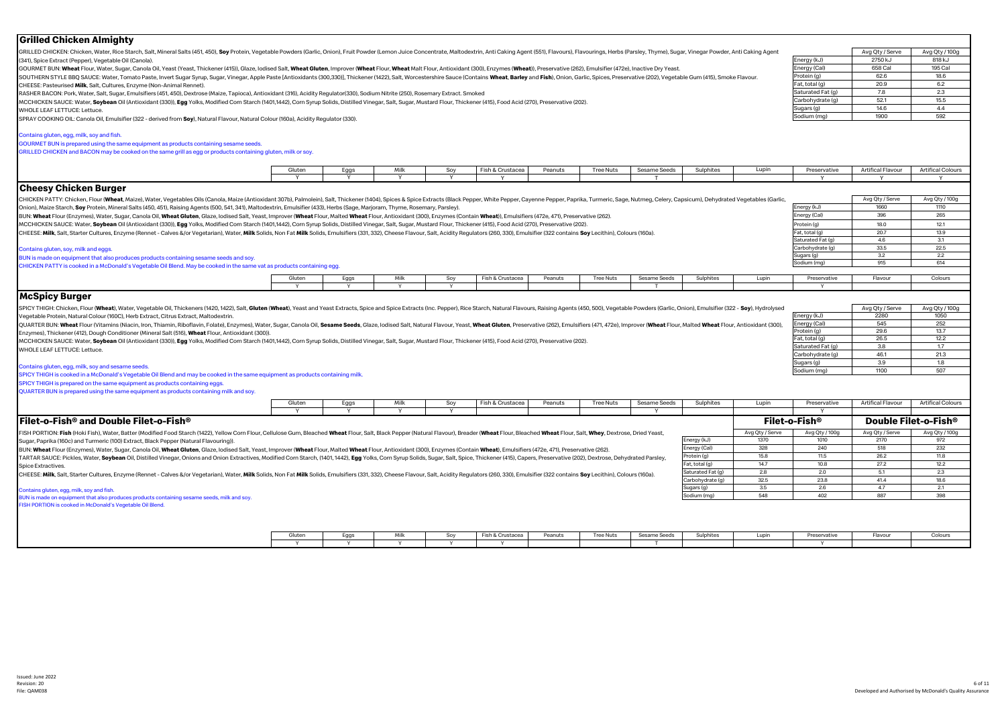| GRILLED CHICKEN: Chicken, Water, Rice Starch, Salt, Mineral Salts (451, 450), Soy Protein, Vegetable Powders (Garlic, Onion), Fruit Powder (Lemon Juice Concentrate, Maltodextrin, Anti Caking Agent (551), Flavourings, Herbs<br>Avg Qty / Serve<br>Avg Qty / 100g<br>Energy (kJ)<br>2750 kJ<br>818 kJ<br>(341), Spice Extract (Pepper), Vegetable Oil (Canola),<br>Energy (Cal)<br>658 Cal<br>195 Cal<br>GOURMET BUN: Wheat Flour, Water, Sugar, Canola Oil, Yeast (Yeast, Thickener (415)), Glaze, lodised Salt, Wheat Gluten, Improver (Wheat Flour, Wheat Malt Flour, Antioxidant (300), Enzymes (Wheat)), Preservative (262), Emuls<br>Protein (g)<br>62.6<br>18.6<br>SOUTHERN STYLE BBQ SAUCE: Water, Tomato Paste, Invert Sugar Syrup, Sugar, Vinegar, Apple Paste [Antioxidants (300,330)], Thickener (1422), Salt, Worcestershire Sauce (Contains Wheat, Barley and Fish), Onion, Garlic, Spices<br>20.9<br>6.2<br>Fat, total (g)<br>CHEESE: Pasteurised Milk, Salt, Cultures, Enzyme (Non-Animal Rennet)<br>Saturated Fat (q)<br>7.8<br>2.3<br>RASHER BACON: Pork, Water, Salt, Sugar, Emulsifiers (451, 450), Dextrose (Maize, Tapioca), Antioxidant (316), Acidity Regulator(330), Sodium Nitrite (250), Rosemary Extract. Smoked<br>Carbohydrate (q)<br>52.1<br>15.5<br>MCCHICKEN SAUCE: Water, Soybean Oil (Antioxidant (330)), Egg Yolks, Modified Corn Starch (1401,1442), Corn Syrup Solids, Distilled Vinegar, Salt, Sugar, Mustard Flour, Thickener (415), Food Acid (270), Preservative (202).<br>14.6<br>4.4<br>Sugars (g)<br>WHOLE LEAF LETTUCE: Lettuce.<br>1900<br>592<br>Sodium (mg)<br>SPRAY COOKING OIL: Canola Oil, Emulsifier (322 - derived from Soy), Natural Flavour, Natural Colour (160a), Acidity Regulator (330).<br>Contains gluten, egg, milk, soy and fish<br>GOURMET BUN is prepared using the same equipment as products containing sesame seeds.<br>GRILLED CHICKEN and BACON may be cooked on the same grill as egg or products containing gluten, milk or soy.<br>Lupin<br>Artifical Flavour<br><b>Artifical Colours</b><br>Milk<br>Fish & Crustacea<br>Peanuts<br><b>Tree Nuts</b><br>Sesame Seeds<br>Sulphites<br>Preservative<br>Gluten<br>Eggs<br>Soy<br><b>Y</b><br><b>Y</b><br>Y<br>Y<br>Y<br>T<br><b>Y</b><br>Y<br>Y<br> Cheesy Chicken Burger<br>Avg Qty / Serve<br>Avg Qty / 100g<br>CHICKEN PATTY: Chicken, Flour (Wheat, Maize), Water, Vegetables Oils (Canola, Maize (Antioxidant 307b), Palmolein), Salt, Thickener (1404), Spices & Spice Extracts (Black Pepper, White Pepper, Cayenne Pepper, Paprika, Turm<br>Onion), Maize Starch, Soy Protein, Mineral Salts (450, 451), Raising Agents (500, 541, 341), Maltodextrin, Emulsifier (433), Herbs (Sage, Marjoram, Thyme, Rosemary, Parsley).<br>Energy (kJ)<br>1660<br>1110 |
|--------------------------------------------------------------------------------------------------------------------------------------------------------------------------------------------------------------------------------------------------------------------------------------------------------------------------------------------------------------------------------------------------------------------------------------------------------------------------------------------------------------------------------------------------------------------------------------------------------------------------------------------------------------------------------------------------------------------------------------------------------------------------------------------------------------------------------------------------------------------------------------------------------------------------------------------------------------------------------------------------------------------------------------------------------------------------------------------------------------------------------------------------------------------------------------------------------------------------------------------------------------------------------------------------------------------------------------------------------------------------------------------------------------------------------------------------------------------------------------------------------------------------------------------------------------------------------------------------------------------------------------------------------------------------------------------------------------------------------------------------------------------------------------------------------------------------------------------------------------------------------------------------------------------------------------------------------------------------------------------------------------------------------------------------------------------------------------------------------------------------------------------------------------------------------------------------------------------------------------------------------------------------------------------------------------------------------------------------------------------------------------------------------------------------------------------------------------------------------------------------------------------------------------------------------------------------------------------------------------------------------------------------------------------------------------------------------------------------------------------------------------------------------------------|
|                                                                                                                                                                                                                                                                                                                                                                                                                                                                                                                                                                                                                                                                                                                                                                                                                                                                                                                                                                                                                                                                                                                                                                                                                                                                                                                                                                                                                                                                                                                                                                                                                                                                                                                                                                                                                                                                                                                                                                                                                                                                                                                                                                                                                                                                                                                                                                                                                                                                                                                                                                                                                                                                                                                                                                                            |
|                                                                                                                                                                                                                                                                                                                                                                                                                                                                                                                                                                                                                                                                                                                                                                                                                                                                                                                                                                                                                                                                                                                                                                                                                                                                                                                                                                                                                                                                                                                                                                                                                                                                                                                                                                                                                                                                                                                                                                                                                                                                                                                                                                                                                                                                                                                                                                                                                                                                                                                                                                                                                                                                                                                                                                                            |
|                                                                                                                                                                                                                                                                                                                                                                                                                                                                                                                                                                                                                                                                                                                                                                                                                                                                                                                                                                                                                                                                                                                                                                                                                                                                                                                                                                                                                                                                                                                                                                                                                                                                                                                                                                                                                                                                                                                                                                                                                                                                                                                                                                                                                                                                                                                                                                                                                                                                                                                                                                                                                                                                                                                                                                                            |
|                                                                                                                                                                                                                                                                                                                                                                                                                                                                                                                                                                                                                                                                                                                                                                                                                                                                                                                                                                                                                                                                                                                                                                                                                                                                                                                                                                                                                                                                                                                                                                                                                                                                                                                                                                                                                                                                                                                                                                                                                                                                                                                                                                                                                                                                                                                                                                                                                                                                                                                                                                                                                                                                                                                                                                                            |
|                                                                                                                                                                                                                                                                                                                                                                                                                                                                                                                                                                                                                                                                                                                                                                                                                                                                                                                                                                                                                                                                                                                                                                                                                                                                                                                                                                                                                                                                                                                                                                                                                                                                                                                                                                                                                                                                                                                                                                                                                                                                                                                                                                                                                                                                                                                                                                                                                                                                                                                                                                                                                                                                                                                                                                                            |
|                                                                                                                                                                                                                                                                                                                                                                                                                                                                                                                                                                                                                                                                                                                                                                                                                                                                                                                                                                                                                                                                                                                                                                                                                                                                                                                                                                                                                                                                                                                                                                                                                                                                                                                                                                                                                                                                                                                                                                                                                                                                                                                                                                                                                                                                                                                                                                                                                                                                                                                                                                                                                                                                                                                                                                                            |
|                                                                                                                                                                                                                                                                                                                                                                                                                                                                                                                                                                                                                                                                                                                                                                                                                                                                                                                                                                                                                                                                                                                                                                                                                                                                                                                                                                                                                                                                                                                                                                                                                                                                                                                                                                                                                                                                                                                                                                                                                                                                                                                                                                                                                                                                                                                                                                                                                                                                                                                                                                                                                                                                                                                                                                                            |
|                                                                                                                                                                                                                                                                                                                                                                                                                                                                                                                                                                                                                                                                                                                                                                                                                                                                                                                                                                                                                                                                                                                                                                                                                                                                                                                                                                                                                                                                                                                                                                                                                                                                                                                                                                                                                                                                                                                                                                                                                                                                                                                                                                                                                                                                                                                                                                                                                                                                                                                                                                                                                                                                                                                                                                                            |
|                                                                                                                                                                                                                                                                                                                                                                                                                                                                                                                                                                                                                                                                                                                                                                                                                                                                                                                                                                                                                                                                                                                                                                                                                                                                                                                                                                                                                                                                                                                                                                                                                                                                                                                                                                                                                                                                                                                                                                                                                                                                                                                                                                                                                                                                                                                                                                                                                                                                                                                                                                                                                                                                                                                                                                                            |
|                                                                                                                                                                                                                                                                                                                                                                                                                                                                                                                                                                                                                                                                                                                                                                                                                                                                                                                                                                                                                                                                                                                                                                                                                                                                                                                                                                                                                                                                                                                                                                                                                                                                                                                                                                                                                                                                                                                                                                                                                                                                                                                                                                                                                                                                                                                                                                                                                                                                                                                                                                                                                                                                                                                                                                                            |
|                                                                                                                                                                                                                                                                                                                                                                                                                                                                                                                                                                                                                                                                                                                                                                                                                                                                                                                                                                                                                                                                                                                                                                                                                                                                                                                                                                                                                                                                                                                                                                                                                                                                                                                                                                                                                                                                                                                                                                                                                                                                                                                                                                                                                                                                                                                                                                                                                                                                                                                                                                                                                                                                                                                                                                                            |
|                                                                                                                                                                                                                                                                                                                                                                                                                                                                                                                                                                                                                                                                                                                                                                                                                                                                                                                                                                                                                                                                                                                                                                                                                                                                                                                                                                                                                                                                                                                                                                                                                                                                                                                                                                                                                                                                                                                                                                                                                                                                                                                                                                                                                                                                                                                                                                                                                                                                                                                                                                                                                                                                                                                                                                                            |
|                                                                                                                                                                                                                                                                                                                                                                                                                                                                                                                                                                                                                                                                                                                                                                                                                                                                                                                                                                                                                                                                                                                                                                                                                                                                                                                                                                                                                                                                                                                                                                                                                                                                                                                                                                                                                                                                                                                                                                                                                                                                                                                                                                                                                                                                                                                                                                                                                                                                                                                                                                                                                                                                                                                                                                                            |
|                                                                                                                                                                                                                                                                                                                                                                                                                                                                                                                                                                                                                                                                                                                                                                                                                                                                                                                                                                                                                                                                                                                                                                                                                                                                                                                                                                                                                                                                                                                                                                                                                                                                                                                                                                                                                                                                                                                                                                                                                                                                                                                                                                                                                                                                                                                                                                                                                                                                                                                                                                                                                                                                                                                                                                                            |
|                                                                                                                                                                                                                                                                                                                                                                                                                                                                                                                                                                                                                                                                                                                                                                                                                                                                                                                                                                                                                                                                                                                                                                                                                                                                                                                                                                                                                                                                                                                                                                                                                                                                                                                                                                                                                                                                                                                                                                                                                                                                                                                                                                                                                                                                                                                                                                                                                                                                                                                                                                                                                                                                                                                                                                                            |
|                                                                                                                                                                                                                                                                                                                                                                                                                                                                                                                                                                                                                                                                                                                                                                                                                                                                                                                                                                                                                                                                                                                                                                                                                                                                                                                                                                                                                                                                                                                                                                                                                                                                                                                                                                                                                                                                                                                                                                                                                                                                                                                                                                                                                                                                                                                                                                                                                                                                                                                                                                                                                                                                                                                                                                                            |
|                                                                                                                                                                                                                                                                                                                                                                                                                                                                                                                                                                                                                                                                                                                                                                                                                                                                                                                                                                                                                                                                                                                                                                                                                                                                                                                                                                                                                                                                                                                                                                                                                                                                                                                                                                                                                                                                                                                                                                                                                                                                                                                                                                                                                                                                                                                                                                                                                                                                                                                                                                                                                                                                                                                                                                                            |
|                                                                                                                                                                                                                                                                                                                                                                                                                                                                                                                                                                                                                                                                                                                                                                                                                                                                                                                                                                                                                                                                                                                                                                                                                                                                                                                                                                                                                                                                                                                                                                                                                                                                                                                                                                                                                                                                                                                                                                                                                                                                                                                                                                                                                                                                                                                                                                                                                                                                                                                                                                                                                                                                                                                                                                                            |
| Energy (Cal)<br>396<br>265<br>BUN: Wheat Flour (Enzymes), Water, Sugar, Canola Oil, Wheat Gluten, Glaze, Iodised Salt, Yeast, Improver (Wheat Flour, Malted Wheat Flour, Antioxidant (300), Enzymes (Contain Wheat), Emulsifiers (472e, 471), Preservative (                                                                                                                                                                                                                                                                                                                                                                                                                                                                                                                                                                                                                                                                                                                                                                                                                                                                                                                                                                                                                                                                                                                                                                                                                                                                                                                                                                                                                                                                                                                                                                                                                                                                                                                                                                                                                                                                                                                                                                                                                                                                                                                                                                                                                                                                                                                                                                                                                                                                                                                               |
| Protein (g)<br>18.0<br>12.1<br>MCCHICKEN SAUCE: Water, Soybean Oil (Antioxidant (330)), Egg Yolks, Modified Corn Starch (1401,1442), Corn Syrup Solids, Distilled Vinegar, Salt, Sugar, Mustard Flour, Thickener (415), Food Acid (270), Preservative (202).                                                                                                                                                                                                                                                                                                                                                                                                                                                                                                                                                                                                                                                                                                                                                                                                                                                                                                                                                                                                                                                                                                                                                                                                                                                                                                                                                                                                                                                                                                                                                                                                                                                                                                                                                                                                                                                                                                                                                                                                                                                                                                                                                                                                                                                                                                                                                                                                                                                                                                                               |
| 20.7<br>13.9<br>Fat, total (g)<br>CHEESE: Milk, Salt, Starter Cultures, Enzyme (Rennet - Calves &/or Vegetarian), Water, Milk Solids, Non Fat Milk Solids, Emulsifiers (331, 332), Cheese Flavour, Salt, Acidity Regulators (260, 330), Emulsifier (322 contains                                                                                                                                                                                                                                                                                                                                                                                                                                                                                                                                                                                                                                                                                                                                                                                                                                                                                                                                                                                                                                                                                                                                                                                                                                                                                                                                                                                                                                                                                                                                                                                                                                                                                                                                                                                                                                                                                                                                                                                                                                                                                                                                                                                                                                                                                                                                                                                                                                                                                                                           |
| 3.1<br>Saturated Fat (g)<br>46                                                                                                                                                                                                                                                                                                                                                                                                                                                                                                                                                                                                                                                                                                                                                                                                                                                                                                                                                                                                                                                                                                                                                                                                                                                                                                                                                                                                                                                                                                                                                                                                                                                                                                                                                                                                                                                                                                                                                                                                                                                                                                                                                                                                                                                                                                                                                                                                                                                                                                                                                                                                                                                                                                                                                             |
| 33.5<br>Carbohydrate (g)<br>22.5<br>Contains gluten, soy, milk and eggs.                                                                                                                                                                                                                                                                                                                                                                                                                                                                                                                                                                                                                                                                                                                                                                                                                                                                                                                                                                                                                                                                                                                                                                                                                                                                                                                                                                                                                                                                                                                                                                                                                                                                                                                                                                                                                                                                                                                                                                                                                                                                                                                                                                                                                                                                                                                                                                                                                                                                                                                                                                                                                                                                                                                   |
| 3.2<br>2.2<br>Sugars (g)<br>BUN is made on equipment that also produces products containing sesame seeds and soy.                                                                                                                                                                                                                                                                                                                                                                                                                                                                                                                                                                                                                                                                                                                                                                                                                                                                                                                                                                                                                                                                                                                                                                                                                                                                                                                                                                                                                                                                                                                                                                                                                                                                                                                                                                                                                                                                                                                                                                                                                                                                                                                                                                                                                                                                                                                                                                                                                                                                                                                                                                                                                                                                          |
| Sodium (mg)<br>915<br>614<br>CHICKEN PATTY is cooked in a McDonald's Vegetable Oil Blend. May be cooked in the same vat as products containing egg.                                                                                                                                                                                                                                                                                                                                                                                                                                                                                                                                                                                                                                                                                                                                                                                                                                                                                                                                                                                                                                                                                                                                                                                                                                                                                                                                                                                                                                                                                                                                                                                                                                                                                                                                                                                                                                                                                                                                                                                                                                                                                                                                                                                                                                                                                                                                                                                                                                                                                                                                                                                                                                        |
| Gluten<br>Milk<br>Soy<br>Fish & Crustacea<br>Peanuts<br><b>Tree Nuts</b><br>Sesame Seeds<br>Sulphites<br>Lupin<br>Preservative<br>Flavour<br>Colours                                                                                                                                                                                                                                                                                                                                                                                                                                                                                                                                                                                                                                                                                                                                                                                                                                                                                                                                                                                                                                                                                                                                                                                                                                                                                                                                                                                                                                                                                                                                                                                                                                                                                                                                                                                                                                                                                                                                                                                                                                                                                                                                                                                                                                                                                                                                                                                                                                                                                                                                                                                                                                       |
| Eggs                                                                                                                                                                                                                                                                                                                                                                                                                                                                                                                                                                                                                                                                                                                                                                                                                                                                                                                                                                                                                                                                                                                                                                                                                                                                                                                                                                                                                                                                                                                                                                                                                                                                                                                                                                                                                                                                                                                                                                                                                                                                                                                                                                                                                                                                                                                                                                                                                                                                                                                                                                                                                                                                                                                                                                                       |
|                                                                                                                                                                                                                                                                                                                                                                                                                                                                                                                                                                                                                                                                                                                                                                                                                                                                                                                                                                                                                                                                                                                                                                                                                                                                                                                                                                                                                                                                                                                                                                                                                                                                                                                                                                                                                                                                                                                                                                                                                                                                                                                                                                                                                                                                                                                                                                                                                                                                                                                                                                                                                                                                                                                                                                                            |
| <b>McSpicy Burger</b>                                                                                                                                                                                                                                                                                                                                                                                                                                                                                                                                                                                                                                                                                                                                                                                                                                                                                                                                                                                                                                                                                                                                                                                                                                                                                                                                                                                                                                                                                                                                                                                                                                                                                                                                                                                                                                                                                                                                                                                                                                                                                                                                                                                                                                                                                                                                                                                                                                                                                                                                                                                                                                                                                                                                                                      |
| SPICY THIGH: Chicken, Flour (Wheat), Water, Vegetable Oil, Thickeners (1420, 1420, 1420, 1420, 1420, 1420, Heath, Veast and Yeast Extracts, Spice and Spice Extracts (Inc. Pepper), Rice Starch, Natural Flavours, Raising Age<br>Avg Qty / Serve<br>Avg Qty / 100g                                                                                                                                                                                                                                                                                                                                                                                                                                                                                                                                                                                                                                                                                                                                                                                                                                                                                                                                                                                                                                                                                                                                                                                                                                                                                                                                                                                                                                                                                                                                                                                                                                                                                                                                                                                                                                                                                                                                                                                                                                                                                                                                                                                                                                                                                                                                                                                                                                                                                                                        |
| Energy (kJ)<br>2280<br>Vegetable Protein, Natural Colour (160C), Herb Extract, Citrus Extract, Maltodextrin<br>1050                                                                                                                                                                                                                                                                                                                                                                                                                                                                                                                                                                                                                                                                                                                                                                                                                                                                                                                                                                                                                                                                                                                                                                                                                                                                                                                                                                                                                                                                                                                                                                                                                                                                                                                                                                                                                                                                                                                                                                                                                                                                                                                                                                                                                                                                                                                                                                                                                                                                                                                                                                                                                                                                        |
| Energy (Cal)<br>545<br>252<br>QUARTER BUN: Wheat Flour (Vitamins (Niacin, Iron, Thiamin, Riboflavin, Folate), Enzymes), Water, Sugar, Canola Oil, Sesame Seeds, Glaze, lodised Salt, Natural Flavour, Yeast, Wheat Gluten, Preservative (262), Emulsifiers (                                                                                                                                                                                                                                                                                                                                                                                                                                                                                                                                                                                                                                                                                                                                                                                                                                                                                                                                                                                                                                                                                                                                                                                                                                                                                                                                                                                                                                                                                                                                                                                                                                                                                                                                                                                                                                                                                                                                                                                                                                                                                                                                                                                                                                                                                                                                                                                                                                                                                                                               |
| 29.6<br>13.7<br>Protein (g)<br>Enzymes), Thickener (412), Dough Conditioner (Mineral Salt (516), Wheat Flour, Antioxidant (300)).<br>Fat, total (g)<br>26.5<br>12.2                                                                                                                                                                                                                                                                                                                                                                                                                                                                                                                                                                                                                                                                                                                                                                                                                                                                                                                                                                                                                                                                                                                                                                                                                                                                                                                                                                                                                                                                                                                                                                                                                                                                                                                                                                                                                                                                                                                                                                                                                                                                                                                                                                                                                                                                                                                                                                                                                                                                                                                                                                                                                        |
| MCCHICKEN SAUCE: Water, Soybean Oil (Antioxidant (330)), Egg Yolks, Modified Corn Starch (1401,1442), Corn Syrup Solids, Distilled Vinegar, Salt, Sugar, Mustard Flour, Thickener (415), Food Acid (270), Preservative (202).<br>Saturated Fat (q)<br>3.8<br>1.7                                                                                                                                                                                                                                                                                                                                                                                                                                                                                                                                                                                                                                                                                                                                                                                                                                                                                                                                                                                                                                                                                                                                                                                                                                                                                                                                                                                                                                                                                                                                                                                                                                                                                                                                                                                                                                                                                                                                                                                                                                                                                                                                                                                                                                                                                                                                                                                                                                                                                                                           |
| WHOLE LEAF LETTUCE: Lettuce.<br>46.1<br>21.3<br>Carbohydrate (g)                                                                                                                                                                                                                                                                                                                                                                                                                                                                                                                                                                                                                                                                                                                                                                                                                                                                                                                                                                                                                                                                                                                                                                                                                                                                                                                                                                                                                                                                                                                                                                                                                                                                                                                                                                                                                                                                                                                                                                                                                                                                                                                                                                                                                                                                                                                                                                                                                                                                                                                                                                                                                                                                                                                           |
| 3.9<br>1.8<br>Sugars (g)                                                                                                                                                                                                                                                                                                                                                                                                                                                                                                                                                                                                                                                                                                                                                                                                                                                                                                                                                                                                                                                                                                                                                                                                                                                                                                                                                                                                                                                                                                                                                                                                                                                                                                                                                                                                                                                                                                                                                                                                                                                                                                                                                                                                                                                                                                                                                                                                                                                                                                                                                                                                                                                                                                                                                                   |
| Contains gluten, egg, milk, soy and sesame seeds.<br>1100<br>507<br>Sodium (mg)                                                                                                                                                                                                                                                                                                                                                                                                                                                                                                                                                                                                                                                                                                                                                                                                                                                                                                                                                                                                                                                                                                                                                                                                                                                                                                                                                                                                                                                                                                                                                                                                                                                                                                                                                                                                                                                                                                                                                                                                                                                                                                                                                                                                                                                                                                                                                                                                                                                                                                                                                                                                                                                                                                            |
| SPICY THIGH is cooked in a McDonald's Vegetable Oil Blend and may be cooked in the same equipment as products containing milk.                                                                                                                                                                                                                                                                                                                                                                                                                                                                                                                                                                                                                                                                                                                                                                                                                                                                                                                                                                                                                                                                                                                                                                                                                                                                                                                                                                                                                                                                                                                                                                                                                                                                                                                                                                                                                                                                                                                                                                                                                                                                                                                                                                                                                                                                                                                                                                                                                                                                                                                                                                                                                                                             |
| SPICY THIGH is prepared on the same equipment as products containing eggs                                                                                                                                                                                                                                                                                                                                                                                                                                                                                                                                                                                                                                                                                                                                                                                                                                                                                                                                                                                                                                                                                                                                                                                                                                                                                                                                                                                                                                                                                                                                                                                                                                                                                                                                                                                                                                                                                                                                                                                                                                                                                                                                                                                                                                                                                                                                                                                                                                                                                                                                                                                                                                                                                                                  |
| QUARTER BUN is prepared using the same equipment as products containing milk and soy.                                                                                                                                                                                                                                                                                                                                                                                                                                                                                                                                                                                                                                                                                                                                                                                                                                                                                                                                                                                                                                                                                                                                                                                                                                                                                                                                                                                                                                                                                                                                                                                                                                                                                                                                                                                                                                                                                                                                                                                                                                                                                                                                                                                                                                                                                                                                                                                                                                                                                                                                                                                                                                                                                                      |
| Lupin<br><b>Artifical Flavour</b><br><b>Artifical Colours</b><br>Gluten<br>Milk<br>Fish & Crustacea<br>Peanuts<br><b>Tree Nuts</b><br>Sesame Seeds<br>Sulphites<br>Preservative                                                                                                                                                                                                                                                                                                                                                                                                                                                                                                                                                                                                                                                                                                                                                                                                                                                                                                                                                                                                                                                                                                                                                                                                                                                                                                                                                                                                                                                                                                                                                                                                                                                                                                                                                                                                                                                                                                                                                                                                                                                                                                                                                                                                                                                                                                                                                                                                                                                                                                                                                                                                            |
| Eggs<br>Soy                                                                                                                                                                                                                                                                                                                                                                                                                                                                                                                                                                                                                                                                                                                                                                                                                                                                                                                                                                                                                                                                                                                                                                                                                                                                                                                                                                                                                                                                                                                                                                                                                                                                                                                                                                                                                                                                                                                                                                                                                                                                                                                                                                                                                                                                                                                                                                                                                                                                                                                                                                                                                                                                                                                                                                                |
| ٧<br>${\sf Filet-o\text{-}Fish}^{\circledR}$ and Double Filet-o-Fish $^{\circledR}$<br>Filet-o-Fish®<br>Double Filet-o-Fish®                                                                                                                                                                                                                                                                                                                                                                                                                                                                                                                                                                                                                                                                                                                                                                                                                                                                                                                                                                                                                                                                                                                                                                                                                                                                                                                                                                                                                                                                                                                                                                                                                                                                                                                                                                                                                                                                                                                                                                                                                                                                                                                                                                                                                                                                                                                                                                                                                                                                                                                                                                                                                                                               |
| Avg Qty / Serve<br>Avg Qty / 100g<br>Avg Qty / Serve<br>Avg Qty / 100g<br>FISH PORTION: Fish (Hoki Fish), Water, Batter (Modified Food Starch (1422), Yellow Corn Flour, Cellulose Gum, Bleached Wheat Flour, Salt, Black Pepper (Natural Flavour), Breader (Wheat Flour, Bleached Wheat Flour, Salt, Wh                                                                                                                                                                                                                                                                                                                                                                                                                                                                                                                                                                                                                                                                                                                                                                                                                                                                                                                                                                                                                                                                                                                                                                                                                                                                                                                                                                                                                                                                                                                                                                                                                                                                                                                                                                                                                                                                                                                                                                                                                                                                                                                                                                                                                                                                                                                                                                                                                                                                                   |
| 2170<br>Energy (kJ)<br>1370<br>1010<br>972<br>Sugar, Paprika (160c) and Turmeric (100) Extract, Black Pepper (Natural Flavouring)).                                                                                                                                                                                                                                                                                                                                                                                                                                                                                                                                                                                                                                                                                                                                                                                                                                                                                                                                                                                                                                                                                                                                                                                                                                                                                                                                                                                                                                                                                                                                                                                                                                                                                                                                                                                                                                                                                                                                                                                                                                                                                                                                                                                                                                                                                                                                                                                                                                                                                                                                                                                                                                                        |
| 240<br>518<br>328<br>232<br>Energy (Cal)<br>BUN: Wheat Flour (Enzymes), Water, Sugar, Canola Oil, Wheat Gluten, Glaze, Iodised Salt, Yeast, Improver (Wheat Flour, Malted Wheat Flour, Antioxidant (300), Enzymes (Contain Wheat), Emulsifiers (472e, 471), Preservative (                                                                                                                                                                                                                                                                                                                                                                                                                                                                                                                                                                                                                                                                                                                                                                                                                                                                                                                                                                                                                                                                                                                                                                                                                                                                                                                                                                                                                                                                                                                                                                                                                                                                                                                                                                                                                                                                                                                                                                                                                                                                                                                                                                                                                                                                                                                                                                                                                                                                                                                 |
| 15.8<br>11.5<br>26.2<br>Protein (a)<br>11.8<br>TARTAR SAUCE: Pickles, Water, Soybean Oil, Distilled Vinegar, Onions and Onion Extractives, Modified Corn Starch, (1401, 1442), Egg Yolks, Corn Syrup Solids, Sugar, Salt, Spice, Thickener (415), Capers, Preservative (202),                                                                                                                                                                                                                                                                                                                                                                                                                                                                                                                                                                                                                                                                                                                                                                                                                                                                                                                                                                                                                                                                                                                                                                                                                                                                                                                                                                                                                                                                                                                                                                                                                                                                                                                                                                                                                                                                                                                                                                                                                                                                                                                                                                                                                                                                                                                                                                                                                                                                                                              |
| 10.8<br>27.2<br>12.2<br>Fat, total (g)<br>14.7<br>Spice Extractives.                                                                                                                                                                                                                                                                                                                                                                                                                                                                                                                                                                                                                                                                                                                                                                                                                                                                                                                                                                                                                                                                                                                                                                                                                                                                                                                                                                                                                                                                                                                                                                                                                                                                                                                                                                                                                                                                                                                                                                                                                                                                                                                                                                                                                                                                                                                                                                                                                                                                                                                                                                                                                                                                                                                       |
| 2.8<br>5.1<br>2.3<br>Saturated Fat (g)<br>2.0<br>CHEESE: Milk, Salt, Starter Cultures, Enzyme (Rennet - Calves &/or Vegetarian), Water, Milk Solids, Non Fat Milk Solids, Emulsifiers (331, 332), Cheese Flavour, Salt, Acidity Regulators (260, 330), Emulsifier (322 contains                                                                                                                                                                                                                                                                                                                                                                                                                                                                                                                                                                                                                                                                                                                                                                                                                                                                                                                                                                                                                                                                                                                                                                                                                                                                                                                                                                                                                                                                                                                                                                                                                                                                                                                                                                                                                                                                                                                                                                                                                                                                                                                                                                                                                                                                                                                                                                                                                                                                                                            |
| Carbohydrate (g)<br>32.5<br>23.8<br>41.4<br>18.6                                                                                                                                                                                                                                                                                                                                                                                                                                                                                                                                                                                                                                                                                                                                                                                                                                                                                                                                                                                                                                                                                                                                                                                                                                                                                                                                                                                                                                                                                                                                                                                                                                                                                                                                                                                                                                                                                                                                                                                                                                                                                                                                                                                                                                                                                                                                                                                                                                                                                                                                                                                                                                                                                                                                           |
| 4.7<br>2.1<br>3.5<br>2.6<br>Sugars (g)<br>Contains gluten, egg, milk, soy and fish.                                                                                                                                                                                                                                                                                                                                                                                                                                                                                                                                                                                                                                                                                                                                                                                                                                                                                                                                                                                                                                                                                                                                                                                                                                                                                                                                                                                                                                                                                                                                                                                                                                                                                                                                                                                                                                                                                                                                                                                                                                                                                                                                                                                                                                                                                                                                                                                                                                                                                                                                                                                                                                                                                                        |
| 548<br>402<br>887<br>398<br>Sodium (mg)<br>BUN is made on equipment that also produces products containing sesame seeds, milk and soy.                                                                                                                                                                                                                                                                                                                                                                                                                                                                                                                                                                                                                                                                                                                                                                                                                                                                                                                                                                                                                                                                                                                                                                                                                                                                                                                                                                                                                                                                                                                                                                                                                                                                                                                                                                                                                                                                                                                                                                                                                                                                                                                                                                                                                                                                                                                                                                                                                                                                                                                                                                                                                                                     |
| FISH PORTION is cooked in McDonald's Vegetable Oil Blend.                                                                                                                                                                                                                                                                                                                                                                                                                                                                                                                                                                                                                                                                                                                                                                                                                                                                                                                                                                                                                                                                                                                                                                                                                                                                                                                                                                                                                                                                                                                                                                                                                                                                                                                                                                                                                                                                                                                                                                                                                                                                                                                                                                                                                                                                                                                                                                                                                                                                                                                                                                                                                                                                                                                                  |
| Gluten<br>Fish & Crustacea<br>Sesame Seeds<br>Sulphites<br>Eggs<br>Milk<br>Soy<br>Peanuts<br><b>Tree Nuts</b><br>Lupin<br>Preservative<br>Flavour<br>Colours                                                                                                                                                                                                                                                                                                                                                                                                                                                                                                                                                                                                                                                                                                                                                                                                                                                                                                                                                                                                                                                                                                                                                                                                                                                                                                                                                                                                                                                                                                                                                                                                                                                                                                                                                                                                                                                                                                                                                                                                                                                                                                                                                                                                                                                                                                                                                                                                                                                                                                                                                                                                                               |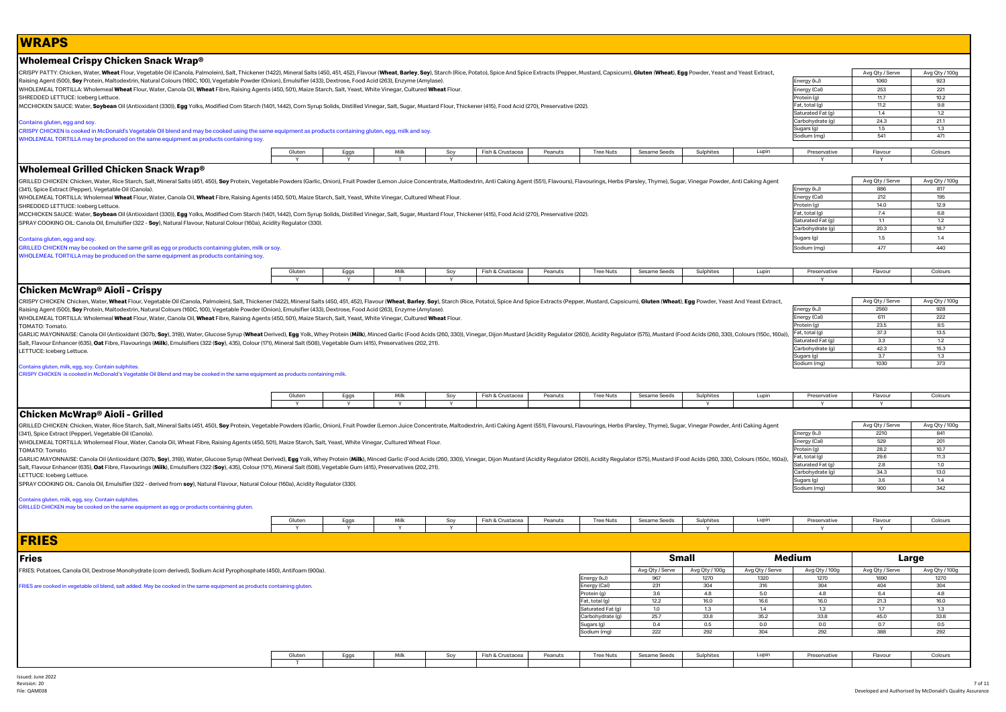| <b>WRAPS</b>                                                                                                                                                                                                                                                                             |             |              |              |          |                  |         |                               |                                |             |                 |                                       |                                |                       |
|------------------------------------------------------------------------------------------------------------------------------------------------------------------------------------------------------------------------------------------------------------------------------------------|-------------|--------------|--------------|----------|------------------|---------|-------------------------------|--------------------------------|-------------|-----------------|---------------------------------------|--------------------------------|-----------------------|
| Wholemeal Crispy Chicken Snack Wrap®                                                                                                                                                                                                                                                     |             |              |              |          |                  |         |                               |                                |             |                 |                                       |                                |                       |
| CRISPY PATTY: Chicken, Water, Wheat Flour, Vegetable Oil (Canola, Palmolein), Salt, Thickener (1422), Mineral Salts (450, 451, 452), Flavour (Wheat, Barley, Soy), Starch (Rice, Potato), Spice And Spice Extracts (Pepper, Mu                                                           |             |              |              |          |                  |         |                               |                                |             |                 |                                       | Avg Qty / Serve                | Avg Qty / 100g        |
| Raising Agent (500), Soy Protein, Maltodextrin, Natural Colours (160C, 100), Vegetable Powder (Onion), Emulsifier (433), Dextrose, Food Acid (263), Enzyme (Amylase).                                                                                                                    |             |              |              |          |                  |         |                               |                                |             |                 | Energy (kJ)                           | 1060<br>253                    | 923                   |
| WHOLEMEAL TORTILLA: Wholemeal Wheat Flour, Water, Canola Oil, Wheat Fibre, Raising Agents (450, 501), Maize Starch, Salt, Yeast, White Vinegar, Cultured Wheat Flour.<br>SHREDDED LETTUCE: Iceberg Lettuce.                                                                              |             |              |              |          |                  |         |                               |                                |             |                 | Energy (Cal)<br>Protein (g)           | 11.7                           | 221<br>10.2           |
| MCCHICKEN SAUCE: Water, Soybean Oil (Antioxidant (330)), Egg Yolks, Modified Corn Starch (1401, 1442), Corn Syrup Solids, Distilled Vinegar, Salt, Sugar, Mustard Flour, Thickener (415), Food Acid (270), Preservative (202).                                                           |             |              |              |          |                  |         |                               |                                |             |                 | Fat, total (g)                        | 11.2                           | 9.8                   |
|                                                                                                                                                                                                                                                                                          |             |              |              |          |                  |         |                               |                                |             |                 | Saturated Fat (q)<br>Carbohydrate (g) | 1.4<br>24.3                    | 1.2<br>21.1           |
| Contains gluten, egg and soy.<br>CRISPY CHICKEN is cooked in McDonald's Vegetable Oil blend and may be cooked using the same equipment as products containing gluten, egg, milk and soy.                                                                                                 |             |              |              |          |                  |         |                               |                                |             |                 | Sugars (g)                            | 1.5                            | 1.3                   |
| WHOLEMEAL TORTILLA may be produced on the same equipment as products containing soy                                                                                                                                                                                                      |             |              |              |          |                  |         |                               |                                |             |                 | Sodium (mg)                           | 541                            | 471                   |
|                                                                                                                                                                                                                                                                                          | Gluten      | Eggs         | Milk         | Soy      | Fish & Crustacea | Peanuts | <b>Tree Nuts</b>              | Sesame Seeds                   | Sulphites   | Lupin           | Preservative                          | Flavour                        | Colours               |
|                                                                                                                                                                                                                                                                                          |             | $\mathsf{v}$ |              | <b>Y</b> |                  |         |                               |                                |             |                 |                                       |                                |                       |
| Wholemeal Grilled Chicken Snack Wrap®                                                                                                                                                                                                                                                    |             |              |              |          |                  |         |                               |                                |             |                 |                                       |                                |                       |
| GRILLED CHICKEN: Chicken, Water, Rice Starch, Salt, Mineral Salts (451, 450), Soy Protein, Vegetable Powders (Garlic, Onion), Fruit Powder (Lemon Juice Concentrate, Maltodextrin, Anti Caking Agent (551), Flavourings, Herbs<br>(341), Spice Extract (Pepper), Vegetable Oil (Canola). |             |              |              |          |                  |         |                               |                                |             |                 | Energy (kJ)                           | Avg Qty / Serve<br>886         | Avg Qty / 100g<br>817 |
| WHOLEMEAL TORTILLA: Wholemeal Wheat Flour, Water, Canola Oil, Wheat Fibre, Raising Agents (450, 501), Maize Starch, Salt, Yeast, White Vinegar, Cultured Wheat Flour.                                                                                                                    |             |              |              |          |                  |         |                               |                                |             |                 | Energy (Cal)                          | 212                            | 195                   |
| SHREDDED LETTUCE: Iceberg Lettuce.                                                                                                                                                                                                                                                       |             |              |              |          |                  |         |                               |                                |             |                 | Protein (g)                           | 14.0                           | 12.9                  |
| MCCHICKEN SAUCE: Water, Soybean Oil (Antioxidant (330)), Egg Yolks, Modified Corn Starch (1401, 1442), Corn Syrup Solids, Distilled Vinegar, Salt, Sugar, Mustard Flour, Thickener (415), Food Acid (270), Preservative (202).                                                           |             |              |              |          |                  |         |                               |                                |             |                 | Fat, total (g)                        | 7.4<br>1.1                     | 6.8<br>1.2            |
| SPRAY COOKING OIL: Canola Oil, Emulsifier (322 - Soy), Natural Flavour, Natural Colour (160a), Acidity Regulator (330).                                                                                                                                                                  |             |              |              |          |                  |         |                               |                                |             |                 | Saturated Fat (g)<br>Carbohydrate (g) | 20.3                           | 18.7                  |
| Contains gluten, egg and soy.                                                                                                                                                                                                                                                            |             |              |              |          |                  |         |                               |                                |             |                 | Sugars (g)                            | 1.5                            | 1.4                   |
| GRILLED CHICKEN may be cooked on the same grill as egg or products containing gluten, milk or soy.                                                                                                                                                                                       |             |              |              |          |                  |         |                               |                                |             |                 | Sodium (mg)                           | 477                            | 440                   |
| WHOLEMEAL TORTILLA may be produced on the same equipment as products containing soy.                                                                                                                                                                                                     |             |              |              |          |                  |         |                               |                                |             |                 |                                       |                                |                       |
|                                                                                                                                                                                                                                                                                          | Gluten      | Eggs         | Milk         | Soy      | Fish & Crustacea | Peanuts | <b>Tree Nuts</b>              | Sesame Seeds                   | Sulphites   | Lupin           | Preservative                          | Flavour                        | Colours               |
|                                                                                                                                                                                                                                                                                          | Y           | Y            | T            | Y        |                  |         |                               |                                |             |                 | Y                                     |                                |                       |
| Chicken McWrap® Aioli - Crispy                                                                                                                                                                                                                                                           |             |              |              |          |                  |         |                               |                                |             |                 |                                       |                                |                       |
| CRISPY CHICKEN: Chicken, Water, Wheat Flour, Vegetable Oil (Canola, Palmolein), Salt, Thickener (1422), Mineral Salts (450, 451, A52), Flavour (Wheat, Barley, Soy), Starch (Rice, Potato), Spice And Spice Extracts (Pepper,                                                            |             |              |              |          |                  |         |                               |                                |             |                 |                                       | Avg Qty / Serve                | Avg Qty / 100g        |
| Raising Agent (500), Soy Protein, Maltodextrin, Natural Colours (160C, 100), Vegetable Powder (Onion), Emulsifier (433), Dextrose, Food Acid (263), Enzyme (Amylase).                                                                                                                    |             |              |              |          |                  |         |                               |                                |             |                 | Energy (kJ)<br>Energy (Cal)           | 2560<br>611                    | 928<br>222            |
| WHOLEMEAL TORTILLA: Wholemeal Wheat Flour, Water, Canola Oil, Wheat Fibre, Raising Agents (450, 501), Maize Starch, Salt, Yeast, White Vinegar, Cultured Wheat Flour.<br>TOMATO: Tomato.                                                                                                 |             |              |              |          |                  |         |                               |                                |             |                 | Protein (g)                           | 23.5                           | 8.5                   |
| GARLIC MAYONNAISE: Canola Oil (Antioxidant (307b, Soy), 319)), Water, Glucose Syrup (Wheat Derived), Egg Yolk, Whey Protein (Milk), Minced Garlic (Food Acids (260, 330)), Vinegar, Dijon Mustard (Acidity Regulator (260), Ac                                                           |             |              |              |          |                  |         |                               |                                |             |                 | Fat, total (g)                        | 37.3                           | 13.5                  |
| Salt, Flavour Enhancer (635), <b>Oat</b> Fibre, Flavourings ( <b>Milk</b> ), Emulsifiers (322 ( <b>Soy</b> ), 435), Colour (171), Mineral Salt (508), Vegetable Gum (415), Preservatives (202, 211).                                                                                     |             |              |              |          |                  |         |                               |                                |             |                 | Saturated Fat (g)                     | 3.3                            | 1.2                   |
| LETTUCE: Iceberg Lettuce.                                                                                                                                                                                                                                                                |             |              |              |          |                  |         |                               |                                |             |                 | Carbohydrate (g)<br>Sugars (g)        | 42.3<br>3.7                    | 15.3<br>1.3           |
|                                                                                                                                                                                                                                                                                          |             |              |              |          |                  |         |                               |                                |             |                 | Sodium (mg)                           | 1030                           | 373                   |
| Contains gluten, milk, egg, soy. Contain sulphites<br>CRISPY CHICKEN is cooked in McDonald's Vegetable Oil Blend and may be cooked in the same equipment as products containing milk.                                                                                                    |             |              |              |          |                  |         |                               |                                |             |                 |                                       |                                |                       |
|                                                                                                                                                                                                                                                                                          |             |              | Milk         |          |                  |         |                               |                                |             |                 | Preservative                          |                                |                       |
|                                                                                                                                                                                                                                                                                          | Gluten      | Eggs<br>Y    | $\mathbf{v}$ | Soy<br>Y | Fish & Crustacea | Peanuts | <b>Tree Nuts</b>              | Sesame Seeds                   | Sulphites   | Lupin           |                                       | Flavour<br>$\checkmark$        | Colours               |
| Chicken McWrap® Aioli - Grilled                                                                                                                                                                                                                                                          |             |              |              |          |                  |         |                               |                                |             |                 |                                       |                                |                       |
| GRILLED CHICKEN: Chicken, Water, Rice Starch, Salt, Mineral Salts (451, 450), Soy Protein, Vegetable Powders (Garlic, Onion), Fruit Powder (Lemon Juice Concentrate, Maltodextrin, Anti Caking Agent (551), Flavours), Flavour                                                           |             |              |              |          |                  |         |                               |                                |             |                 |                                       | Avg Qty / Serve                | Avg Qty / 100g        |
| (341), Spice Extract (Pepper), Vegetable Oil (Canola).                                                                                                                                                                                                                                   |             |              |              |          |                  |         |                               |                                |             |                 | Energy (kJ)                           | 2210                           | 841                   |
| WHOLEMEAL TORTILLA: Wholemeal Flour, Water, Canola Oil, Wheat Fibre, Raising Agents (450, 501), Maize Starch, Salt, Yeast, White Vinegar, Cultured Wheat Flour.                                                                                                                          |             |              |              |          |                  |         |                               |                                |             |                 | Energy (Cal)                          | 529                            | 201                   |
| TOMATO: Tomato.                                                                                                                                                                                                                                                                          |             |              |              |          |                  |         |                               |                                |             |                 | Protein (g)                           | 28.2<br>29.6                   | 10.7<br>11.3          |
| GARLIC MAYONNAISE: Canola Oil (Antioxidant (307b, Soy), 319)), Water, Glucose Syrup (Wheat Derived), Egg Yolk, Whey Protein (Milk), Minced Garlic (Food Acids (260, 330)), Vinegar, Dijon Mustard (Acidity Regulator (260), Ac                                                           |             |              |              |          |                  |         |                               |                                |             |                 | Fat, total (g)<br>Saturated Fat (g)   | 2.8                            | 1.0                   |
| Salt, Flavour Enhancer (635), Oat Fibre, Flavourings (Milk), Emulsifiers (322 (Soy), 435), Colour (171), Mineral Salt (508), Vegetable Gum (415), Preservatives (202, 211).<br>ETTUCE: Iceberg Lettuce.                                                                                  |             |              |              |          |                  |         |                               |                                |             |                 | Carbohydrate (g)                      | 34.3                           | 13.0                  |
| SPRAY COOKING OIL: Canola Oil, Emulsifier (322 - derived from soy), Natural Flavour, Natural Colour (160a), Acidity Regulator (330).                                                                                                                                                     |             |              |              |          |                  |         |                               |                                |             |                 | Sugars (g)                            | 3.6                            | 1.4                   |
|                                                                                                                                                                                                                                                                                          |             |              |              |          |                  |         |                               |                                |             |                 | Sodium (mg)                           | 900                            | 342                   |
| Contains gluten, milk, egg, soy. Contain sulphites.                                                                                                                                                                                                                                      |             |              |              |          |                  |         |                               |                                |             |                 |                                       |                                |                       |
| GRILLED CHICKEN may be cooked on the same equipment as egg or products containing gluten.                                                                                                                                                                                                |             |              |              |          |                  |         |                               |                                |             |                 |                                       |                                |                       |
|                                                                                                                                                                                                                                                                                          | Gluter<br>Y | Eggs<br>Y    | Milk<br>Y    | Soy<br>Y | Fish & Crustacea | Peanuts | <b>Tree Nuts</b>              | Sesame Seeds                   | Sulphites   | Lupin           | Preservative<br>Y                     | Flavour<br>$\mathbf{v}$        | Colours               |
|                                                                                                                                                                                                                                                                                          |             |              |              |          |                  |         |                               |                                |             |                 |                                       |                                |                       |
| <b>FRIES</b>                                                                                                                                                                                                                                                                             |             |              |              |          |                  |         |                               |                                |             |                 |                                       |                                |                       |
|                                                                                                                                                                                                                                                                                          |             |              |              |          |                  |         |                               |                                |             |                 |                                       |                                |                       |
| Fries                                                                                                                                                                                                                                                                                    |             |              |              |          |                  |         |                               | Small                          |             |                 | Medium                                | Large                          |                       |
| FRIES: Potatoes, Canola Oil, Dextrose Monohydrate (corn derived), Sodium Acid Pyrophosphate (450), Antifoam (900a)                                                                                                                                                                       |             |              |              |          |                  |         |                               | Avg Qty / Serve Avg Qty / 100g |             | Avg Qty / Serve | Avg Qty / 100g                        | Avg Qty / Serve Avg Qty / 100g |                       |
|                                                                                                                                                                                                                                                                                          |             |              |              |          |                  |         | Energy (kJ)                   | 967                            | 1270        | 1320            | 1270                                  | 1690                           | 1270                  |
| FRIES are cooked in vegetable oil blend, salt added. May be cooked in the same equipment as products containing gluten.                                                                                                                                                                  |             |              |              |          |                  |         | Energy (Cal)                  | 231                            | 304         | 316             | 304                                   | 404                            | 304                   |
|                                                                                                                                                                                                                                                                                          |             |              |              |          |                  |         | Protein (g)<br>Fat, total (g) | 3.6<br>12.2                    | 4.8<br>16.0 | 5.0<br>16.6     | 4.8<br>16.0                           | 6.4<br>21.3                    | 4.8<br>16.0           |
|                                                                                                                                                                                                                                                                                          |             |              |              |          |                  |         | Saturated Fat (g)             | 1.0                            | 1.3         | 1.4             | 1.3                                   | 1.7                            | 1.3                   |
|                                                                                                                                                                                                                                                                                          |             |              |              |          |                  |         | Carbohydrate (g)              | 25.7                           | 33.8        | 35.2            | 33.8                                  | 45.0                           | 33.8                  |
|                                                                                                                                                                                                                                                                                          |             |              |              |          |                  |         | Sugars (g)                    | 0.4                            | 0.5         | 0.0             | 0.0                                   | 0.7                            | 0.5                   |
|                                                                                                                                                                                                                                                                                          |             |              |              |          |                  |         | Sodium (mg)                   | 222                            | 292         | 304             | 292                                   | 388                            | 292                   |
|                                                                                                                                                                                                                                                                                          | Gluten      | Eggs         | Milk         | Soy      | Fish & Crustacea | Peanuts | <b>Tree Nuts</b>              | Sesame Seeds                   | Sulphites   | Lupin           | Preservative                          | Flavour                        | Colours               |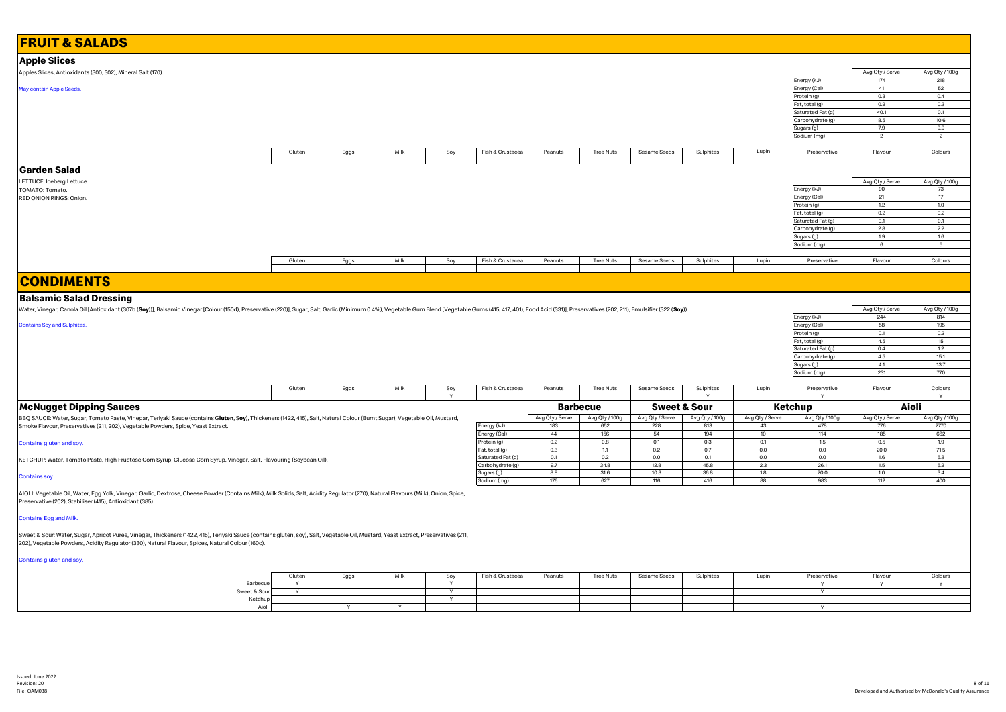| <b>Apple Slices</b>                                                                                                                                                                                                                                                                      |        |      |      |          |                                |                        |                       |                         |                       |                       |                                       |                        |                        |
|------------------------------------------------------------------------------------------------------------------------------------------------------------------------------------------------------------------------------------------------------------------------------------------|--------|------|------|----------|--------------------------------|------------------------|-----------------------|-------------------------|-----------------------|-----------------------|---------------------------------------|------------------------|------------------------|
| Apples Slices, Antioxidants (300, 302), Mineral Salt (170).                                                                                                                                                                                                                              |        |      |      |          |                                |                        |                       |                         |                       |                       |                                       | Avg Qty / Serve        | Avg Qty / 100g         |
|                                                                                                                                                                                                                                                                                          |        |      |      |          |                                |                        |                       |                         |                       |                       | Energy (kJ)                           | 174                    | 218                    |
| May contain Apple Seeds.                                                                                                                                                                                                                                                                 |        |      |      |          |                                |                        |                       |                         |                       |                       | Energy (Cal)                          | 41                     | 52                     |
|                                                                                                                                                                                                                                                                                          |        |      |      |          |                                |                        |                       |                         |                       |                       | Protein (g)<br>Fat, total (g)         | 0.3<br>0.2             | 0.4<br>0.3             |
|                                                                                                                                                                                                                                                                                          |        |      |      |          |                                |                        |                       |                         |                       |                       | Saturated Fat (g)                     | < 0.1                  | 0.1                    |
|                                                                                                                                                                                                                                                                                          |        |      |      |          |                                |                        |                       |                         |                       |                       | Carbohydrate (g)                      | $8.5\,$                | 10.6                   |
|                                                                                                                                                                                                                                                                                          |        |      |      |          |                                |                        |                       |                         |                       |                       | Sugars (g)                            | 7.9                    | 9.9                    |
|                                                                                                                                                                                                                                                                                          |        |      |      |          |                                |                        |                       |                         |                       |                       | Sodium (mg)                           | $\overline{2}$         | $\overline{2}$         |
|                                                                                                                                                                                                                                                                                          | Gluten | Eggs | Milk | Soy      | Fish & Crustacea               | Peanuts                | <b>Tree Nuts</b>      | Sesame Seeds            | Sulphites             | Lupin                 | Preservative                          | Flavour                | Colours                |
|                                                                                                                                                                                                                                                                                          |        |      |      |          |                                |                        |                       |                         |                       |                       |                                       |                        |                        |
| Garden Salad                                                                                                                                                                                                                                                                             |        |      |      |          |                                |                        |                       |                         |                       |                       |                                       |                        |                        |
| LETTUCE: Iceberg Lettuce.                                                                                                                                                                                                                                                                |        |      |      |          |                                |                        |                       |                         |                       |                       |                                       | Avg Qty / Serve        | Avg Qty / 100g         |
| TOMATO: Tomato.                                                                                                                                                                                                                                                                          |        |      |      |          |                                |                        |                       |                         |                       |                       | Energy (kJ)                           | 90                     | 73                     |
| RED ONION RINGS: Onion.                                                                                                                                                                                                                                                                  |        |      |      |          |                                |                        |                       |                         |                       |                       | Energy (Cal)                          | 21                     | 17                     |
|                                                                                                                                                                                                                                                                                          |        |      |      |          |                                |                        |                       |                         |                       |                       | Protein (g)                           | $1.2\,$                | 1.0                    |
|                                                                                                                                                                                                                                                                                          |        |      |      |          |                                |                        |                       |                         |                       |                       | Fat, total (g)                        | 0.2                    | 0.2                    |
|                                                                                                                                                                                                                                                                                          |        |      |      |          |                                |                        |                       |                         |                       |                       | Saturated Fat (g)<br>Carbohydrate (g) | 0.1<br>2.8             | 0.1<br>2.2             |
|                                                                                                                                                                                                                                                                                          |        |      |      |          |                                |                        |                       |                         |                       |                       | Sugars (g)                            | 1.9                    | 1.6                    |
|                                                                                                                                                                                                                                                                                          |        |      |      |          |                                |                        |                       |                         |                       |                       | Sodium (mg)                           | 6                      | 5                      |
|                                                                                                                                                                                                                                                                                          |        |      |      |          |                                |                        |                       |                         |                       |                       |                                       |                        |                        |
|                                                                                                                                                                                                                                                                                          | Gluten | Eggs | Milk | Soy      | Fish & Crustacea               | Peanuts                | <b>Tree Nuts</b>      | Sesame Seeds            | Sulphites             | Lupin                 | Preservative                          | Flavour                | Colours                |
| <b>CONDIMENTS</b>                                                                                                                                                                                                                                                                        |        |      |      |          |                                |                        |                       |                         |                       |                       |                                       |                        |                        |
| <b>Balsamic Salad Dressing</b>                                                                                                                                                                                                                                                           |        |      |      |          |                                |                        |                       |                         |                       |                       |                                       |                        |                        |
| Water, Vinegar, Canola Oil [Antioxidant (307b (Soy))], Balsamic Vinegar [Colour (150d), Preservative (220)], Sugar, Salt, Garlic (Minimum 0.4%), Vegetable Gum Blend [Vegetable Gums (415, 417, 401), Food Acid (331)], Preser                                                           |        |      |      |          |                                |                        |                       |                         |                       |                       |                                       | Avg Qty / Serve        | Avg Qty / 100g         |
|                                                                                                                                                                                                                                                                                          |        |      |      |          |                                |                        |                       |                         |                       |                       | Energy (kJ)                           | 244                    | 814                    |
| <b>Contains Soy and Sulphites.</b>                                                                                                                                                                                                                                                       |        |      |      |          |                                |                        |                       |                         |                       |                       | Energy (Cal)                          | 58                     | 195                    |
|                                                                                                                                                                                                                                                                                          |        |      |      |          |                                |                        |                       |                         |                       |                       | Protein (g)<br>Fat, total (g)         | 0.1<br>$4.5\,$         | 0.2<br>15              |
|                                                                                                                                                                                                                                                                                          |        |      |      |          |                                |                        |                       |                         |                       |                       |                                       |                        |                        |
|                                                                                                                                                                                                                                                                                          |        |      |      |          |                                |                        |                       |                         |                       |                       |                                       |                        |                        |
|                                                                                                                                                                                                                                                                                          |        |      |      |          |                                |                        |                       |                         |                       |                       | Saturated Fat (g)<br>Carbohydrate (g) | 0.4<br>4.5             | 1.2<br>15.1            |
|                                                                                                                                                                                                                                                                                          |        |      |      |          |                                |                        |                       |                         |                       |                       | Sugars (g)                            | 4.1                    | 13.7                   |
|                                                                                                                                                                                                                                                                                          |        |      |      |          |                                |                        |                       |                         |                       |                       | Sodium (mg)                           | 231                    | 770                    |
|                                                                                                                                                                                                                                                                                          |        |      |      |          |                                |                        |                       |                         |                       |                       |                                       |                        |                        |
|                                                                                                                                                                                                                                                                                          | Gluten | Eggs | Milk | Soy<br>Y | Fish & Crustacea               | Peanuts                | <b>Tree Nuts</b>      | Sesame Seeds            | Sulphites             | Lupin                 | Preservative                          | Flavour                | Colours                |
| <b>McNugget Dipping Sauces</b>                                                                                                                                                                                                                                                           |        |      |      |          |                                |                        | <b>Barbecue</b>       | <b>Sweet &amp; Sour</b> |                       |                       | Ketchup                               |                        | Aioli                  |
|                                                                                                                                                                                                                                                                                          |        |      |      |          |                                |                        |                       |                         |                       |                       |                                       |                        |                        |
| BBQ SAUCE: Water, Sugar, Tomato Paste, Vinegar, Teriyaki Sauce (contains Gluten, Soy), Thickeners (1422, 415), Salt, Natural Colour (Burnt Sugar), Vegetable Oil, Mustard,<br>Smoke Flavour, Preservatives (211, 202), Vegetable Powders, Spice, Yeast Extract.                          |        |      |      |          | Energy (kJ)                    | Avg Qty / Serve<br>183 | Avg Qty / 100g<br>652 | Avg Qty / Serve<br>228  | Avg Qty / 100g<br>813 | Avg Qty / Serve<br>43 | Avg Qty / 100g<br>478                 | Avg Qty / Serve<br>776 | Avg Qty / 100g<br>2770 |
|                                                                                                                                                                                                                                                                                          |        |      |      |          | Energy (Cal)                   | 44                     | 156                   | 54                      | 194                   | 10                    | 114                                   | 185                    | 662                    |
| Contains gluten and soy.                                                                                                                                                                                                                                                                 |        |      |      |          | Protein (g)                    | 0.2                    | 0.8                   | 0.1                     | 0.3                   | 0.1                   | 1.5                                   | 0.5                    | 1.9                    |
|                                                                                                                                                                                                                                                                                          |        |      |      |          | Fat, total (g)                 | 0.3                    | 1.1                   | 0.2                     | 0.7                   | 0.0                   | 0.0                                   | 20.0                   | 71.5                   |
| KETCHUP: Water, Tomato Paste, High Fructose Corn Syrup, Glucose Corn Syrup, Vinegar, Salt, Flavouring (Soybean Oil).                                                                                                                                                                     |        |      |      |          | Saturated Fat (g)              | 0.1<br>9.7             | 0.2<br>34.8           | 0.0<br>12.8             | 0.1<br>45.8           | 0.0<br>2.3            | 0.0<br>26.1                           | 1.6<br>1.5             | 5.8<br>5.2             |
|                                                                                                                                                                                                                                                                                          |        |      |      |          | Carbohydrate (g)<br>Sugars (g) | 8.8                    | 31.6                  | 10.3                    | 36.8                  | 1.8                   | 20.0                                  | 1.0                    | 3.4                    |
| <b>Contains soy</b>                                                                                                                                                                                                                                                                      |        |      |      |          | Sodium (mg)                    | 176                    | 627                   | 116                     | 416                   | 88                    | 983                                   | 112                    | 400                    |
| AIOLI: Vegetable Oil, Water, Egg Yolk, Vinegar, Garlic, Dextrose, Cheese Powder (Contains Milk), Milk Solids, Salt, Acidity Regulator (270), Natural Flavours (Milk), Onion, Spice,<br>Preservative (202), Stabiliser (415), Antioxidant (385).                                          |        |      |      |          |                                |                        |                       |                         |                       |                       |                                       |                        |                        |
| <b>Contains Egg and Milk.</b>                                                                                                                                                                                                                                                            |        |      |      |          |                                |                        |                       |                         |                       |                       |                                       |                        |                        |
| Sweet & Sour: Water, Sugar, Apricot Puree, Vinegar, Thickeners (1422, 415), Teriyaki Sauce (contains gluten, soy), Salt, Vegetable Oil, Mustard, Yeast Extract, Preservatives (211,<br>202), Vegetable Powders, Acidity Regulator (330), Natural Flavour, Spices, Natural Colour (160c). |        |      |      |          |                                |                        |                       |                         |                       |                       |                                       |                        |                        |
| Contains gluten and soy.                                                                                                                                                                                                                                                                 |        |      |      |          |                                |                        |                       |                         |                       |                       |                                       |                        |                        |
|                                                                                                                                                                                                                                                                                          | Gluten | Eggs | Milk | Soy      | Fish & Crustacea               | Peanuts                | Tree Nuts             | Sesame Seeds            | Sulphites             | Lupin                 | Preservative                          | Flavour                | Colours                |
| Barbecue                                                                                                                                                                                                                                                                                 | Y      |      |      | Y        |                                |                        |                       |                         |                       |                       | Y                                     | Y                      | Y                      |
| Sweet & Sour<br>Ketchup                                                                                                                                                                                                                                                                  | Υ      |      |      | Υ<br>Y   |                                |                        |                       |                         |                       |                       | Υ                                     |                        |                        |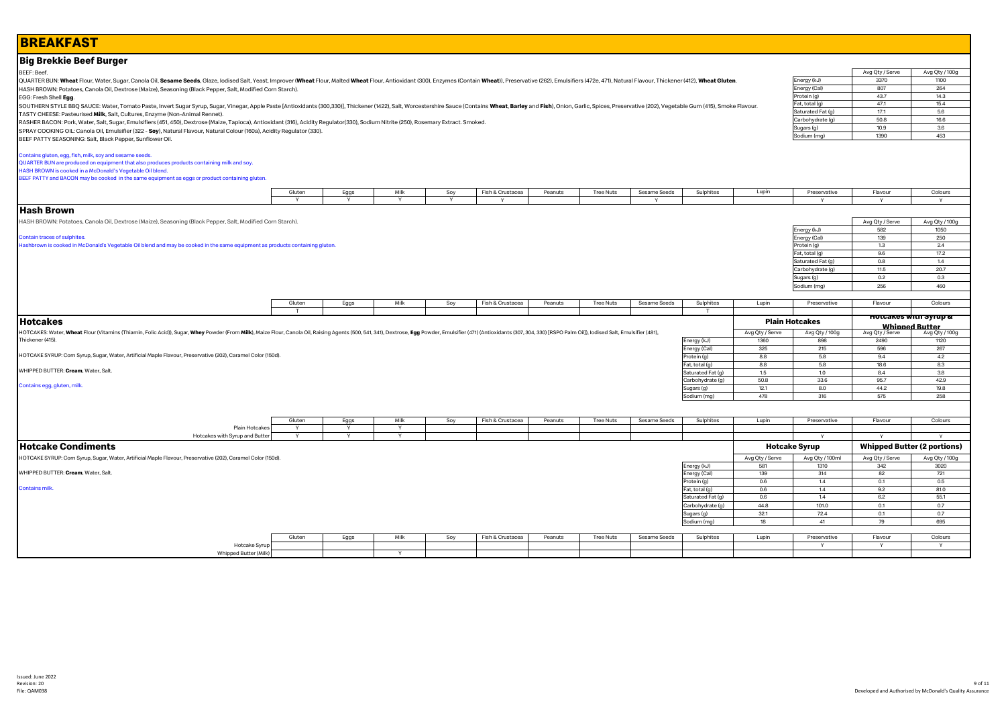# **BREAKFAST**

## **Big Brekkie Beef Burger**

### BEEF: Beef.

QUARTER BUN: Wheat Flour, Water, Sugar, Canola Oil, Sesame Seeds, Glaze, Iodised Salt, Yeast, Improver (Wheat Flour, Malted Wheat Flour, Antioxidant (300), Enzymes (Contain Wheat), Preservative (262), Emulsifiers (472e, 47 HASH BROWN: Potatoes, Canola Oil, Dextrose (Maize), Seasoning (Black Pepper, Salt, Modified Corn Starch).

EGG: Fresh Shell **Egg**.

SOUTHERN STYLE BBQ SAUCE: Water, Tomato Paste, Invert Sugar Syrup, Sugar, Vinegar, Apple Paste [Antioxidants (300,330)], Thickener (1422), Salt, Worcestershire Sauce (Contains Wheat, Barley and Fish), Onion, Garlic, Spices TASTY CHEESE: Pasteurised **Milk**, Salt, Cultures, Enzyme (Non-Animal Rennet).

RASHER BACON: Pork, Water, Salt, Sugar, Emulsifiers (451, 450), Dextrose (Maize, Tapioca), Antioxidant (316), Acidity Regulator(330), Sodium Nitrite (250), Rosemary Extract. Smoked.

SPRAY COOKING OIL: Canola Oil, Emulsifier (322 - **Soy**), Natural Flavour, Natural Colour (160a), Acidity Regulator (330).

BEEF PATTY SEASONING: Salt, Black Pepper, Sunflower Oil.

Contains gluten, egg, fish, milk, soy and sesame seeds. QUARTER BUN are produced on equipment that also produces products containing milk and soy.

HASH BROWN is cooked in a McDonald's Vegetable Oil blend.

BEEF PATTY and BACON may be cooked in the same equipment as eggs or product containing gluten.

| Gluten | Egg | ິ້<br>ov. | $-1$<br>∙& Crustace.<br>Fish J | Peanuts<br>-------- | <b>Tree Nuts</b> | Sesame Seeds | <b>Sulphites</b> | Luu | Preservative | ∼lavou<br> | Colour: |
|--------|-----|-----------|--------------------------------|---------------------|------------------|--------------|------------------|-----|--------------|------------|---------|
|        |     |           |                                |                     |                  |              |                  |     |              |            |         |

**Hash Brown**

| HASH BROWN: Potatoes, Canola Oil, Dextrose (Maize), Seasoning (Black Pepper, Salt, Modified Corn Starch). |  |  |  |
|-----------------------------------------------------------------------------------------------------------|--|--|--|
|-----------------------------------------------------------------------------------------------------------|--|--|--|

### **Contain traces of sulphites**

shbrown is cooked in McDonald's Vegetable Oil blend and may be cooked in the same equipment as products containing gluten.

|                   | Avg Qty / Serve | Avg Qty / 100g |
|-------------------|-----------------|----------------|
| Energy (kJ)       | 582             | 1050           |
| Energy (Cal)      | 139             | 250            |
| Protein (g)       | 1.3             | 2.4            |
| Fat, total (g)    | 9.6             | 17.2           |
| Saturated Fat (g) | 0.8             | 1.4            |
| Carbohydrate (g)  | 11.5            | 20.7           |
| Sugars (g)        | 0.2             | 0.3            |
| Sodium (mg)       | 256             | 460            |

Avg Qty / Serve Avg Qty / 100g<br>3370 1100

Energy (kJ) 3370 1100<br>
Energy (Cal) 807 264 Energy (Cal) 807 264<br>Protein (a) 437 143 Protein (g) 43.7 14.3<br>
Fat, total (g) 47.1 15.4 Fat, total (g) 47.1 15.4<br>Saturated Fat (g) 17.1 5.6 Saturated Fat (g) 17.1 5.6<br>Carbohydrate (g) 50.8 16.6 Carbohydrate (g) 50.8 16.6<br>Sugars (g) 10.9 3.6 Sugars (g) 10.9 3.6<br>Sodium (ma) 1390 453

Sodium (mg)

Energy (Cal) 325 215 596 267<br>Protein (n) 38 58 94 42 Protein (g) | 8.8 | 5.8 | 9.4 | 4.2 Fat, total (g) | 8.8 | 5.8 | 18.6 | 8.3 Saturated Fat (g) 1.5 1.0 8.4 3.8 Carbohydrate (g) | 50.8 | 33.6 | 95.7 | 42.9 Sugars (g) | 12.1 | 8.0 | 44.2 | 19.8

|                                                                                                                                                                                                                                | Gluter |  | Fish & Crustacea | Peanuts | <b>Tree Nuts</b> | Sesame Seeds | Sulphites   | Lupin           | Preservative          | Flavour                                  | Colours        |
|--------------------------------------------------------------------------------------------------------------------------------------------------------------------------------------------------------------------------------|--------|--|------------------|---------|------------------|--------------|-------------|-----------------|-----------------------|------------------------------------------|----------------|
|                                                                                                                                                                                                                                |        |  |                  |         |                  |              |             |                 |                       |                                          |                |
| <b>Hotcakes</b>                                                                                                                                                                                                                |        |  |                  |         |                  |              |             |                 | <b>Plain Hotcakes</b> | <b>THOLCARES WILLI SYTUP &amp;</b>       |                |
| HOTCAKES: Water, Wheat Flour (Vitamins (Thiamin, Folic Acid)), Sugar, Whey Powder (From Milk), Maize Flour, Canola Oil, Raising Agents (500, 541, 341), Dextrose, Egg Powder, Emulsifier (471) (Antioxidants (307, 304, 330) [ |        |  |                  |         |                  |              |             | Avg Qty / Serve | Avg Qty / 100         | <b>Whinned Rutter</b><br>Avg Qty / Serve | Avg Qty / 100g |
| Thickener (415).                                                                                                                                                                                                               |        |  |                  |         |                  |              | Energy (kJ) | 1360            |                       | 2490                                     | 1120           |

HOTCAKE SYRUP: Corn Syrup, Sugar, Water, Artificial Maple Flavour, Preservative (202), Caramel Color (150d).

WHIPPED BUTTER: **Cream**, Water, Salt.

Contains egg, gluten, milk.

**Hotcakes**<br>HOTCAKES: Water, Wh

|                                                                                                              |        |      |      |     |                  |         |                  |              | Sodium (mg)       | 478             |                      | 575             | 258                                |
|--------------------------------------------------------------------------------------------------------------|--------|------|------|-----|------------------|---------|------------------|--------------|-------------------|-----------------|----------------------|-----------------|------------------------------------|
|                                                                                                              |        |      |      |     |                  |         |                  |              |                   |                 |                      |                 |                                    |
|                                                                                                              | Gluten | Eggs | Milk | Soy | Fish & Crustacea | Peanuts | <b>Tree Nuts</b> | Sesame Seeds | Sulphites         | Lupin           | Preservative         | Flavour         | Colours                            |
| <b>Plain Hotcakes</b>                                                                                        |        |      |      |     |                  |         |                  |              |                   |                 |                      |                 |                                    |
| Hotcakes with Syrup and Butter                                                                               |        |      |      |     |                  |         |                  |              |                   |                 |                      | $\lambda$       |                                    |
| <b>Hotcake Condiments</b>                                                                                    |        |      |      |     |                  |         |                  |              |                   |                 | <b>Hotcake Syrup</b> |                 | <b>Whipped Butter (2 portions)</b> |
| HOTCAKE SYRUP: Corn Syrup, Sugar, Water, Artificial Maple Flavour, Preservative (202), Caramel Color (150d). |        |      |      |     |                  |         |                  |              |                   | Avg Qty / Serve | Avg Qty / 100ml      | Avg Qty / Serve | Avg Qty / 100g                     |
|                                                                                                              |        |      |      |     |                  |         |                  |              | Energy (kJ)       | 581             | 1310                 | 342             | 3020                               |
| WHIPPED BUTTER: Cream, Water, Salt.                                                                          |        |      |      |     |                  |         |                  |              | Energy (Cal)      | 139             | 314                  | 82              | 721                                |
|                                                                                                              |        |      |      |     |                  |         |                  |              | Protein (g)       | 0.6             | 1.4                  | 0.1             | 0.5                                |
| <b>Contains milk.</b>                                                                                        |        |      |      |     |                  |         |                  |              | Fat, total (g)    | 0.6             | 1.4                  | 9.2             | 81.0                               |
|                                                                                                              |        |      |      |     |                  |         |                  |              | Saturated Fat (g) | 0.6             | 1.4                  | 6.2             | 55.1                               |
|                                                                                                              |        |      |      |     |                  |         |                  |              | Carbohydrate (g)  | 44.8            | 101.0                | 0.1             | 0.7                                |
|                                                                                                              |        |      |      |     |                  |         |                  |              | Sugars (g)        | 32.1            | 72.4                 | 0.1             | 0.7                                |
|                                                                                                              |        |      |      |     |                  |         |                  |              | Sodium (mg)       | 18              | 41                   | 79              | 695                                |
|                                                                                                              |        |      |      |     |                  |         |                  |              |                   |                 |                      |                 |                                    |
|                                                                                                              | Gluten | Eggs | Milk | Soy | Fish & Crustacea | Peanuts | <b>Tree Nuts</b> | Sesame Seeds | Sulphites         | Lupin           | Preservative         | Flavour         | Colours                            |
| Hotcake Syrup                                                                                                |        |      |      |     |                  |         |                  |              |                   |                 |                      |                 | $\lambda$                          |
| Whipped Butter (Milk)                                                                                        |        |      |      |     |                  |         |                  |              |                   |                 |                      |                 |                                    |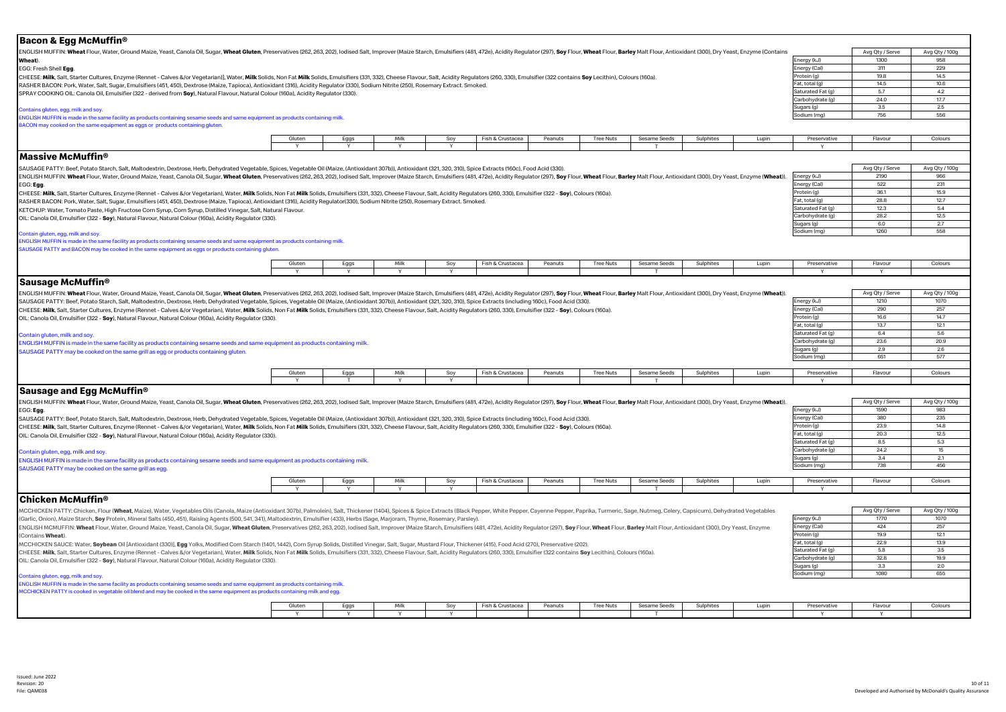| <b>Bacon &amp; Egg McMuffin®</b>                                                                                                                                                                                                                                                                                                                                                                                                                                 |        |                           |      |        |                  |         |                  |              |           |       |                                     |                 |                |
|------------------------------------------------------------------------------------------------------------------------------------------------------------------------------------------------------------------------------------------------------------------------------------------------------------------------------------------------------------------------------------------------------------------------------------------------------------------|--------|---------------------------|------|--------|------------------|---------|------------------|--------------|-----------|-------|-------------------------------------|-----------------|----------------|
| ENGLISH MUFFIN: Wheat Flour, Water, Ground Maize, Yeast, Canola Oil, Sugar, Wheat Gluten, Preservatives (262, 263, 202), Iodised Salt, Improver (Maize Starch, Emulsifiers (481, 472e), Acidity Regulator (297), Soy Flour, Wh                                                                                                                                                                                                                                   |        |                           |      |        |                  |         |                  |              |           |       |                                     | Avg Qty / Serve | Avg Qty / 100g |
| Wheat).                                                                                                                                                                                                                                                                                                                                                                                                                                                          |        |                           |      |        |                  |         |                  |              |           |       | Energy (kJ)                         | 1300<br>311     | 958<br>229     |
| EGG: Fresh Shell Egg.<br>CHEESE: Milk, Salt, Starter Cultures, Enzyme (Rennet - Calves &/or Vegetarian)], Water, Milk Solids, Non Fat Milk Solids, Emulsifiers (331, 332), Cheese Flavour, Salt, Acidity Regulators (260, 330), Emulsifier (322 contain                                                                                                                                                                                                          |        |                           |      |        |                  |         |                  |              |           |       | Energy (Cal)<br>Protein (g)         | 19.8            | 14.5           |
| RASHER BACON: Pork, Water, Salt, Sugar, Emulsifiers (451, 450), Dextrose (Maize, Tapioca), Antioxidant (316), Acidity Regulator (330), Sodium Nitrite (250), Rosemary Extract. Smoked.                                                                                                                                                                                                                                                                           |        |                           |      |        |                  |         |                  |              |           |       | Fat, total (g)                      | 14.5            | 10.6           |
| SPRAY COOKING OIL: Canola Oil, Emulsifier (322 - derived from Soy), Natural Flavour, Natural Colour (160a), Acidity Regulator (330).                                                                                                                                                                                                                                                                                                                             |        |                           |      |        |                  |         |                  |              |           |       | Saturated Fat (g)                   | 5.7             | 4.2            |
|                                                                                                                                                                                                                                                                                                                                                                                                                                                                  |        |                           |      |        |                  |         |                  |              |           |       | Carbohydrate (g)<br>Sugars (g)      | 24.0<br>3.5     | 17.7<br>2.5    |
| Contains gluten, egg, milk and soy.<br>ENGLISH MUFFIN is made in the same facility as products containing sesame seeds and same equipment as products containing milk.                                                                                                                                                                                                                                                                                           |        |                           |      |        |                  |         |                  |              |           |       | Sodium (mg)                         | 756             | 556            |
| BACON may cooked on the same equipment as eggs or products containing gluten.                                                                                                                                                                                                                                                                                                                                                                                    |        |                           |      |        |                  |         |                  |              |           |       |                                     |                 |                |
|                                                                                                                                                                                                                                                                                                                                                                                                                                                                  | Gluten | Eggs                      | Milk | Soy    | Fish & Crustacea | Peanuts | <b>Tree Nuts</b> | Sesame Seeds | Sulphites | Lupin | Preservative                        | Flavour         | Colours        |
| $\sf{Massive}\,M\rm{c}M$ uffin®                                                                                                                                                                                                                                                                                                                                                                                                                                  |        |                           |      |        |                  |         |                  |              |           |       |                                     |                 |                |
| SAUSAGE PATTY: Beef, Potato Starch, Salt, Maltodextrin, Dextrose, Herb, Dehydrated Vegetable, Spices, Vegetable Oil (Maize, (Antioxidant 307b)), Antioxidant (321, 320, 310), Spice Extracts (160c), Food Acid (330)                                                                                                                                                                                                                                             |        |                           |      |        |                  |         |                  |              |           |       |                                     | Avg Qty / Serve | Avg Qty / 100g |
| ENGLISH MUFFIN: Wheat Flour, Water, Ground Maize, Yeast, Canola Oil, Sugar, Wheat Gluten, Preservatives (262, 263, 202), Iodised Salt, Improver (Maize Starch, Emulsifiers (481, 472e), Acidity Regulator (297), Soy Flour, Wh                                                                                                                                                                                                                                   |        |                           |      |        |                  |         |                  |              |           |       | Energy (kJ)                         | 2190<br>522     | 966<br>231     |
| EGG: Egg.<br>CHEESE: Milk, Salt, Starter Cultures, Enzyme (Rennet - Calves &/or Vegetarian), Water, Milk Solids, Non Fat Milk Solids, Emulsifiers (331, 332), Cheese Flavour, Salt, Acidity Regulators (260, 330), Emulsifier (322 - Soy),                                                                                                                                                                                                                       |        |                           |      |        |                  |         |                  |              |           |       | Energy (Cal)<br>Protein (g)         | 36.1            | 15.9           |
| RASHER BACON: Pork, Water, Salt, Sugar, Emulsifiers (451, 450), Dextrose (Maize, Tapioca), Antioxidant (316), Acidity Regulator(330), Sodium Nitrite (250), Rosemary Extract. Smoked.                                                                                                                                                                                                                                                                            |        |                           |      |        |                  |         |                  |              |           |       | Fat, total (g)                      | 28.8            | 12.7           |
| KETCHUP: Water, Tomato Paste, High Fructose Corn Syrup, Corn Syrup, Distilled Vinegar, Salt, Natural Flavour.                                                                                                                                                                                                                                                                                                                                                    |        |                           |      |        |                  |         |                  |              |           |       | Saturated Fat (g)                   | 12.3            | 5.4            |
| OIL: Canola Oil, Emulsifier (322 - Soy), Natural Flavour, Natural Colour (160a), Acidity Regulator (330).                                                                                                                                                                                                                                                                                                                                                        |        |                           |      |        |                  |         |                  |              |           |       | Carbohydrate (q)                    | 28.2<br>6.0     | 12.5<br>2.7    |
|                                                                                                                                                                                                                                                                                                                                                                                                                                                                  |        | Sugars (g)<br>Sodium (ma) | 1260 | 558    |                  |         |                  |              |           |       |                                     |                 |                |
| Contain gluten, egg, milk and soy.<br>ENGLISH MUFFIN is made in the same facility as products containing sesame seeds and same equipment as products containing milk.<br>SAUSAGE PATTY and BACON may be cooked in the same equipment as eggs or products containing gluten.                                                                                                                                                                                      |        |                           |      |        |                  |         |                  |              |           |       |                                     |                 |                |
|                                                                                                                                                                                                                                                                                                                                                                                                                                                                  | Gluten | Eggs                      | Milk | Soy    | Fish & Crustacea | Peanuts | <b>Tree Nuts</b> | Sesame Seeds | Sulphites | Lupin | Preservative                        | Flavour         | Colours        |
|                                                                                                                                                                                                                                                                                                                                                                                                                                                                  |        | Y                         |      | $\vee$ |                  |         |                  |              |           |       | $\mathbf{v}$                        | $\mathbf{v}$    |                |
| Sausage McMuffin <sup>®</sup>                                                                                                                                                                                                                                                                                                                                                                                                                                    |        |                           |      |        |                  |         |                  |              |           |       |                                     |                 |                |
| ENGLISH MUFFIN: Wheat Flour, Water, Ground Maize, Yeast, Canola Oil, Sugar, Wheat Gluten, Preservatives (262,263,202), lodised Salt, Improver (Maize Starch, Emulsifiers (481, 472e), Acidity Regulator (297), Soy Flour, Whea                                                                                                                                                                                                                                   |        |                           |      |        |                  |         |                  |              |           |       |                                     | Avg Qty / Serve | Avg Qty / 100g |
| SAUSAGE PATTY: Beef, Potato Starch, Salt, Maltodextrin, Dextrose, Herb, Dehydrated Vegetable, Spices, Vegetable Oil (Maize, (Antioxidant 307b)), Antioxidant (321, 320, 310), Spice Extracts (including 160c), Food Acid (330)<br>CHEESE: Milk, Salt, Starter Cultures, Enzyme (Rennet - Calves &/or Vegetarian), Water, Milk Solids, Non Fat Milk Solids, Emulsifiers (331, 332), Cheese Flavour, Salt, Acidity Regulators (260, 330), Emulsifier (32- Soy), Co |        |                           |      |        |                  |         |                  |              |           |       | Energy (kJ)<br>Energy (Cal)         | 1210<br>290     | 1070<br>257    |
| OIL: Canola Oil, Emulsifier (322 - Soy), Natural Flavour, Natural Colour (160a), Acidity Regulator (330).                                                                                                                                                                                                                                                                                                                                                        |        |                           |      |        |                  |         |                  |              |           |       | Protein (g)                         | 16.6            | 14.7           |
|                                                                                                                                                                                                                                                                                                                                                                                                                                                                  |        |                           |      |        |                  |         |                  |              |           |       | Fat, total (g)                      | 13.7            | 12.1           |
| Contain gluten, milk and soy                                                                                                                                                                                                                                                                                                                                                                                                                                     |        |                           |      |        |                  |         |                  |              |           |       | Saturated Fat (g)                   | 6.4             | 5.6            |
| ENGLISH MUFFIN is made in the same facility as products containing sesame seeds and same equipment as products containing milk.                                                                                                                                                                                                                                                                                                                                  |        |                           |      |        |                  |         |                  |              |           |       | Carbohydrate (q)<br>Sugars (g)      | 23.6<br>2.9     | 20.9<br>2.6    |
| SAUSAGE PATTY may be cooked on the same grill as egg or products containing gluten                                                                                                                                                                                                                                                                                                                                                                               |        |                           |      |        |                  |         |                  |              |           |       | Sodium (mg)                         | 651             | 577            |
|                                                                                                                                                                                                                                                                                                                                                                                                                                                                  |        |                           |      |        |                  |         |                  |              |           |       |                                     |                 |                |
|                                                                                                                                                                                                                                                                                                                                                                                                                                                                  | Gluten | Eggs                      | Milk | Soy    | Fish & Crustacea | Peanuts | <b>Tree Nuts</b> | Sesame Seeds | Sulphites | Lupin | Preservative                        | Flavour         | Colours        |
| <b>Sausage and Egg McMuffin®</b>                                                                                                                                                                                                                                                                                                                                                                                                                                 |        |                           |      |        |                  |         |                  |              |           |       |                                     |                 |                |
| ENGLISH MUFFIN: Wheat Flour, Water, Ground Maize, Yeast, Canola Oil, Sugar, Wheat Gluten, Preservatives (262, 202), lodised Salt, Improver (Maize Starch, Emulsifiers (481, 472e), Acidity Requlator (297), Soy Flour, Wheat F                                                                                                                                                                                                                                   |        |                           |      |        |                  |         |                  |              |           |       |                                     | Avg Qty / Serve | Avg Qty / 100g |
| EGG: Egg.                                                                                                                                                                                                                                                                                                                                                                                                                                                        |        |                           |      |        |                  |         |                  |              |           |       | Energy (kJ)                         | 1590            | 983            |
| SAUSAGE PATTY: Beef, Potato Starch, Salt, Maltodextrin, Dextrose, Herb, Dehydrated Vegetable, Spices, Vegetable Oil (Maize, (Antioxidant 307b)), Antioxidant (321, 320, 310), Spice Extracts (including 160c), Food Acid (330)                                                                                                                                                                                                                                   |        |                           |      |        |                  |         |                  |              |           |       | Energy (Cal)                        | 380             | 235            |
| CHEESE: Milk, Salt, Starter Cultures, Enzyme (Rennet - Calves &/or Vegetarian), Water, Milk Solids, Non Fat Milk Solids, Emulsifiers (331, 332), Cheese Flavour, Salt, Acidity Regulators (260, 330), Emulsifier (32- Soy), Co                                                                                                                                                                                                                                   |        |                           |      |        |                  |         |                  |              |           |       | Protein (g)                         | 23.9            | 14.8           |
| OIL: Canola Oil, Emulsifier (322 - Soy), Natural Flavour, Natural Colour (160a), Acidity Regulator (330).                                                                                                                                                                                                                                                                                                                                                        |        |                           |      |        |                  |         |                  |              |           |       | Fat, total (g)<br>Saturated Fat (g) | 20.3<br>8.5     | 12.5<br>5.3    |
| Contain gluten, egg, milk and soy                                                                                                                                                                                                                                                                                                                                                                                                                                |        |                           |      |        |                  |         |                  |              |           |       | Carbohydrate (q)                    | 24.2            | 15             |
| ENGLISH MUFFIN is made in the same facility as products containing sesame seeds and same equipment as products containing milk.                                                                                                                                                                                                                                                                                                                                  |        |                           |      |        |                  |         |                  |              |           |       | Sugars (g)                          | 3.4             | 2.1            |
| SAUSAGE PATTY may be cooked on the same grill as egg.                                                                                                                                                                                                                                                                                                                                                                                                            |        |                           |      |        |                  |         |                  |              |           |       | Sodium (mg)                         | 738             | 456            |
|                                                                                                                                                                                                                                                                                                                                                                                                                                                                  | Gluten | Eggs                      | Milk | Soy    | Fish & Crustacea | Peanuts | <b>Tree Nuts</b> | Sesame Seeds | Sulphites | Lupin | Preservative                        | Flavour         | Colours        |
|                                                                                                                                                                                                                                                                                                                                                                                                                                                                  | Y      | Y                         | Y    | Y      |                  |         |                  |              |           |       | $\mathbf{v}$                        |                 |                |
| lChicken McMuffin®                                                                                                                                                                                                                                                                                                                                                                                                                                               |        |                           |      |        |                  |         |                  |              |           |       |                                     |                 |                |
| MCCHICKEN PATTY: Chicken, Flour (Wheat, Maize), Water, Vegetables Oils (Canola, Maize (Antioxidant 307b), Palmolein), Salt, Thickener (1404), Spices & Spice Extracts (Black Pepper, White Pepper, Paprike, Turmeric, Sage, Nu                                                                                                                                                                                                                                   |        |                           |      |        |                  |         |                  |              |           |       |                                     | Avg Qty / Serve | Avg Qty / 100g |
| (Garlic, Onion), Maize Starch, Soy Protein, Mineral Salts (450, 451), Raising Agents (500, 541, 341), Maltodextrin, Emulsifier (433), Herbs (Sage, Marjoram, Thyme, Rosemary, Parsley).                                                                                                                                                                                                                                                                          |        |                           |      |        |                  |         |                  |              |           |       | Energy (kJ)                         | 1770            | 1070           |
| ENGLISH MCMUFFIN: Wheat Flour, Water, Ground Maize, Yeast, Canola Oil, Sugar, Wheat Gluten, Preservatives (262, 263, 202), lodised Salt, Improver (Maize Starch, Emulsifiers (481, 472e), Acidity Regulator (297), Soy Flour,                                                                                                                                                                                                                                    |        |                           |      |        |                  |         |                  |              |           |       | Energy (Cal)                        | 424             | 257            |
| (Contains Wheat).                                                                                                                                                                                                                                                                                                                                                                                                                                                |        |                           |      |        |                  |         |                  |              |           |       | Protein (g)<br>Fat, total (g)       | 19.9<br>22.9    | 12.1<br>13.9   |
| MCCHICKEN SAUCE: Water, Soybean Oil [Antioxidant (330)], Egg Yolks, Modified Corn Starch (1401, 1442), Corn Syrup Solids, Distilled Vinegar, Salt, Sugar, Mustard Flour, Thickener (415), Food Acid (270), Preservative (202)<br>CHEESE: Milk, Salt, Starter Cultures, Enzyme (Rennet - Calves &/or Vegetarian), Water, Milk Solids, Non Fat Milk Solids, Emulsifiers (331, 332), Cheese Flavour, Salt, Acidity Regulators (260, 330), Emulsifier (322 contains  |        |                           |      |        |                  |         |                  |              |           |       | Saturated Fat (g)                   | 5.8             | 3.5            |
| OIL: Canola Oil, Emulsifier (322 - Soy), Natural Flavour, Natural Colour (160a), Acidity Regulator (330).                                                                                                                                                                                                                                                                                                                                                        |        |                           |      |        |                  |         |                  |              |           |       | Carbohydrate (q)                    | 32.8            | 19.9           |
|                                                                                                                                                                                                                                                                                                                                                                                                                                                                  |        |                           |      |        |                  |         |                  |              |           |       | Sugars (g)                          | 33              | 2.0            |
| Contains gluten, egg, milk and soy.                                                                                                                                                                                                                                                                                                                                                                                                                              |        |                           |      |        |                  |         |                  |              |           |       | Sodium (mg)                         | 1080            | 655            |
| ENGLISH MUFFIN is made in the same facility as products containing sesame seeds and same equipment as products containing milk.<br>MCCHICKEN PATTY is cooked in vegetable oil blend and may be cooked in the same equipment as products containing milk and egg.                                                                                                                                                                                                 |        |                           |      |        |                  |         |                  |              |           |       |                                     |                 |                |
|                                                                                                                                                                                                                                                                                                                                                                                                                                                                  | Gluten | Eggs                      | Milk | Soy    | Fish & Crustacea | Peanuts | <b>Tree Nuts</b> | Sesame Seeds | Sulphites | Lupin | Preservative                        | Flavour         | Colours        |
|                                                                                                                                                                                                                                                                                                                                                                                                                                                                  |        |                           |      |        |                  |         |                  |              |           |       |                                     |                 |                |